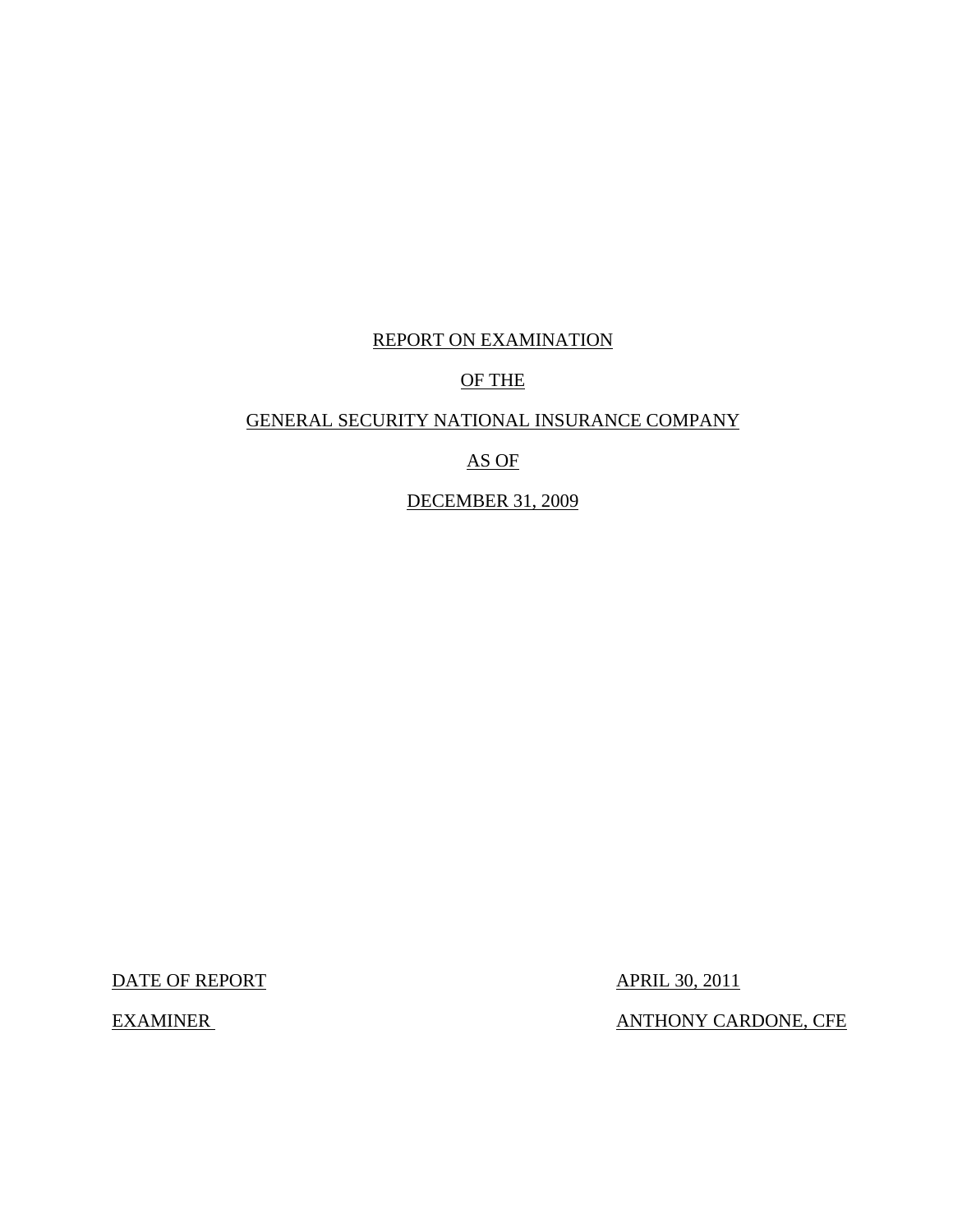# REPORT ON EXAMINATION

# OF THE

# GENERAL SECURITY NATIONAL INSURANCE COMPANY

# AS OF

# DECEMBER 31, 2009

DATE OF REPORT APRIL 30, 2011

EXAMINER GERALD CONTROLLER ANTHONY CARDONE, CFE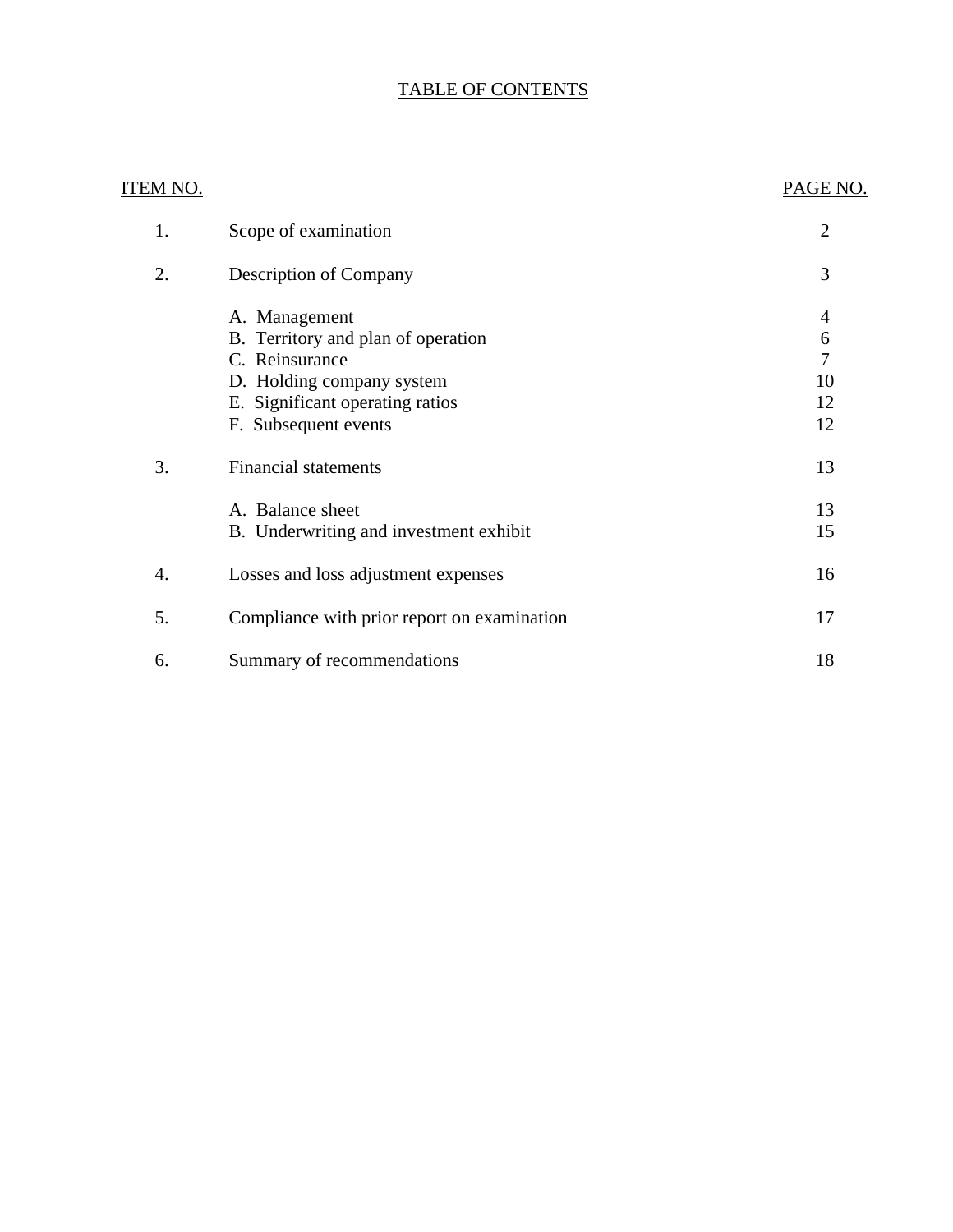# TABLE OF CONTENTS

| ITEM NO. |                                             | PAGE NO.       |
|----------|---------------------------------------------|----------------|
| 1.       | Scope of examination                        | $\overline{2}$ |
| 2.       | <b>Description of Company</b>               | 3              |
|          | A. Management                               | 4              |
|          | B. Territory and plan of operation          | 6              |
|          | C. Reinsurance                              | 7              |
|          | D. Holding company system                   | 10             |
|          | E. Significant operating ratios             | 12             |
|          | F. Subsequent events                        | 12             |
| 3.       | <b>Financial statements</b>                 | 13             |
|          | A. Balance sheet                            | 13             |
|          | B. Underwriting and investment exhibit      | 15             |
| 4.       | Losses and loss adjustment expenses         | 16             |
| 5.       | Compliance with prior report on examination | 17             |
| 6.       | Summary of recommendations                  | 18             |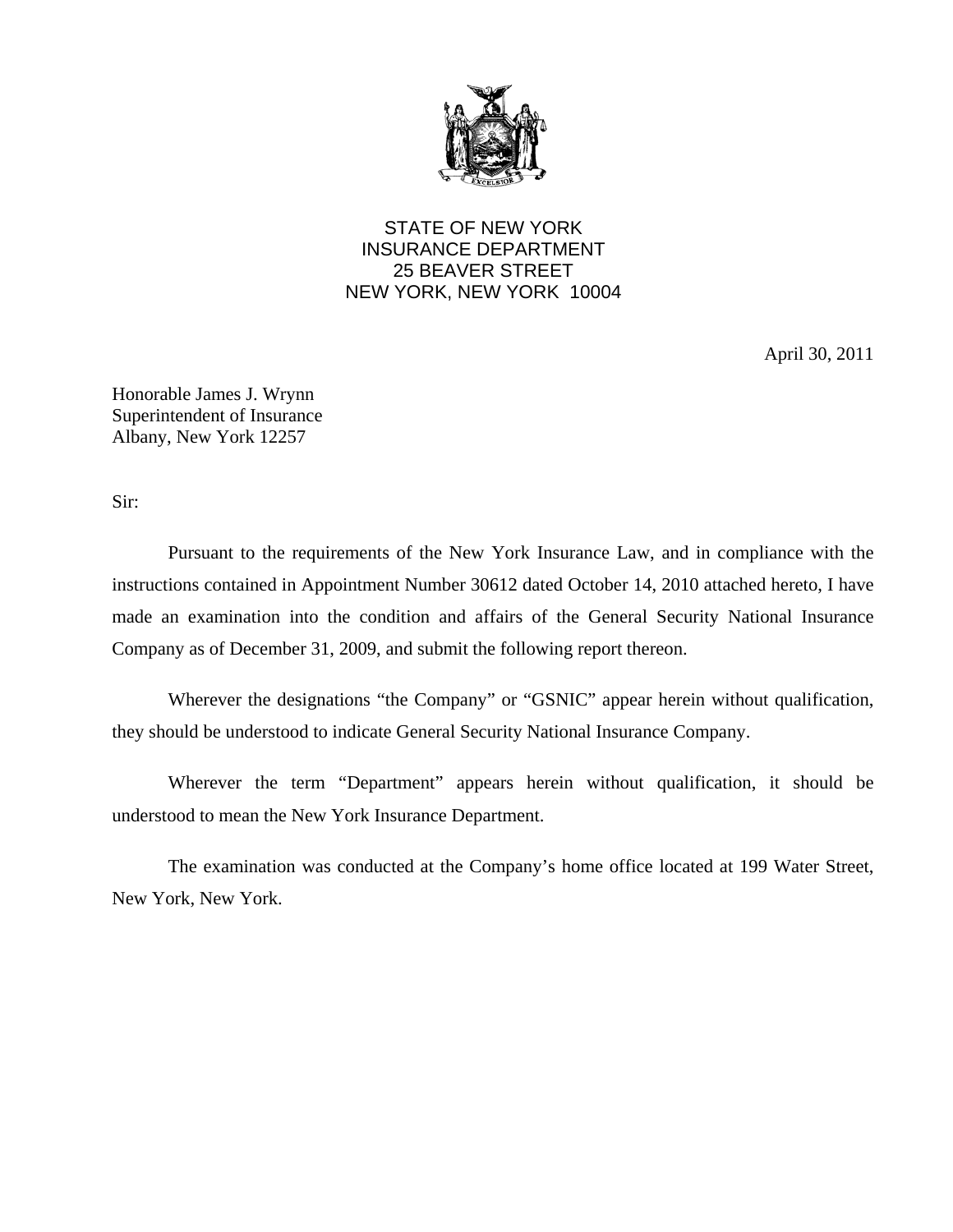

STATE OF NEW YORK INSURANCE DEPARTMENT 25 BEAVER STREET NEW YORK, NEW YORK 10004

April 30, 2011

Honorable James J. Wrynn Superintendent of Insurance Albany, New York 12257

Sir:

Pursuant to the requirements of the New York Insurance Law, and in compliance with the instructions contained in Appointment Number 30612 dated October 14, 2010 attached hereto, I have made an examination into the condition and affairs of the General Security National Insurance Company as of December 31, 2009, and submit the following report thereon.

Wherever the designations "the Company" or "GSNIC" appear herein without qualification, they should be understood to indicate General Security National Insurance Company.

Wherever the term "Department" appears herein without qualification, it should be understood to mean the New York Insurance Department.

The examination was conducted at the Company's home office located at 199 Water Street, New York, New York.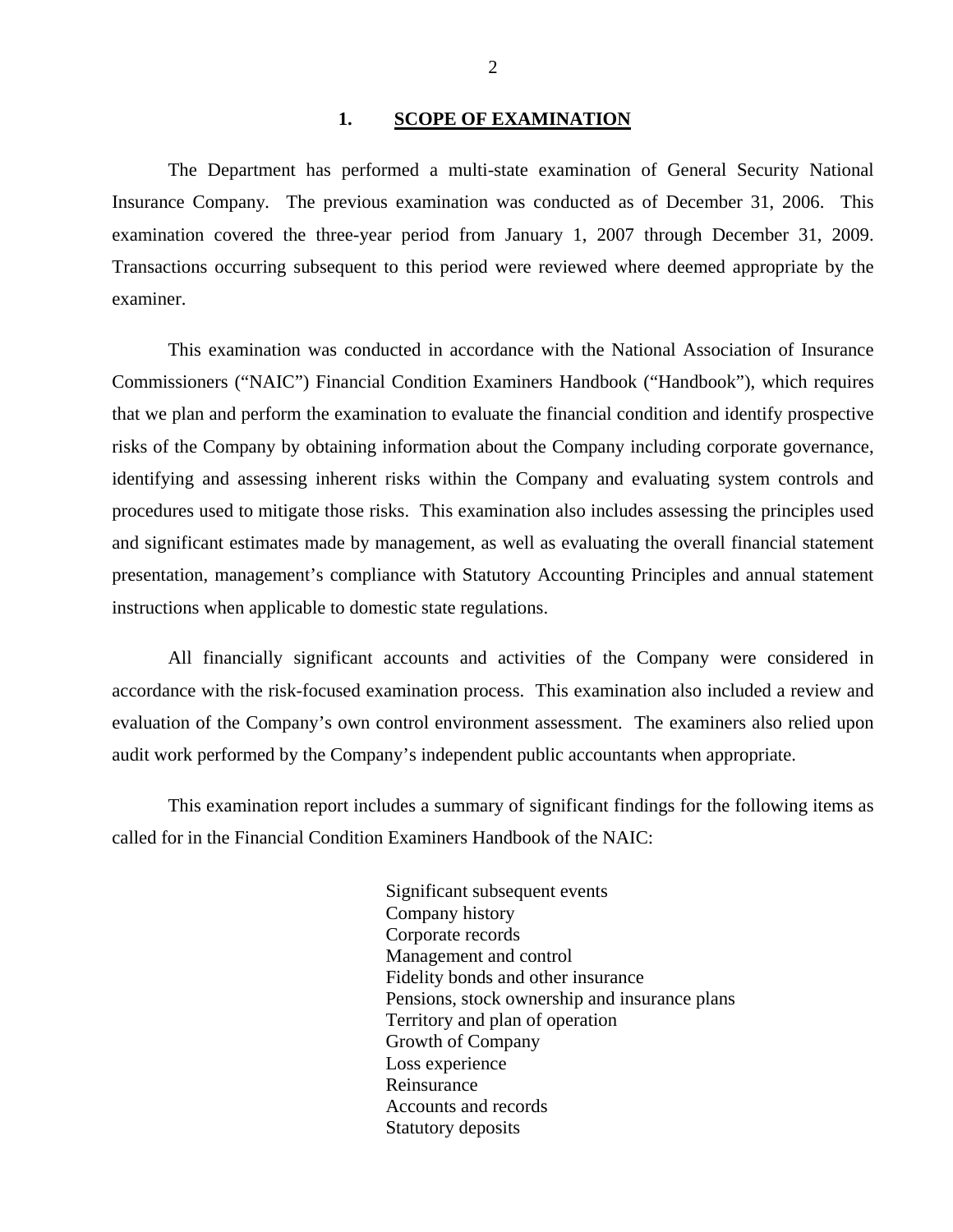#### 1. **SCOPE OF EXAMINATION**

<span id="page-3-0"></span>The Department has performed a multi-state examination of General Security National Insurance Company*.* The previous examination was conducted as of December 31, 2006. This examination covered the three-year period from January 1, 2007 through December 31, 2009. Transactions occurring subsequent to this period were reviewed where deemed appropriate by the examiner.

This examination was conducted in accordance with the National Association of Insurance Commissioners ("NAIC") Financial Condition Examiners Handbook ("Handbook"), which requires that we plan and perform the examination to evaluate the financial condition and identify prospective risks of the Company by obtaining information about the Company including corporate governance, identifying and assessing inherent risks within the Company and evaluating system controls and procedures used to mitigate those risks. This examination also includes assessing the principles used and significant estimates made by management, as well as evaluating the overall financial statement presentation, management's compliance with Statutory Accounting Principles and annual statement instructions when applicable to domestic state regulations.

All financially significant accounts and activities of the Company were considered in accordance with the risk-focused examination process. This examination also included a review and evaluation of the Company's own control environment assessment. The examiners also relied upon audit work performed by the Company's independent public accountants when appropriate.

This examination report includes a summary of significant findings for the following items as called for in the Financial Condition Examiners Handbook of the NAIC:

> Significant subsequent events Company history Corporate records Management and control Fidelity bonds and other insurance Pensions, stock ownership and insurance plans Territory and plan of operation Growth of Company Loss experience Reinsurance Accounts and records Statutory deposits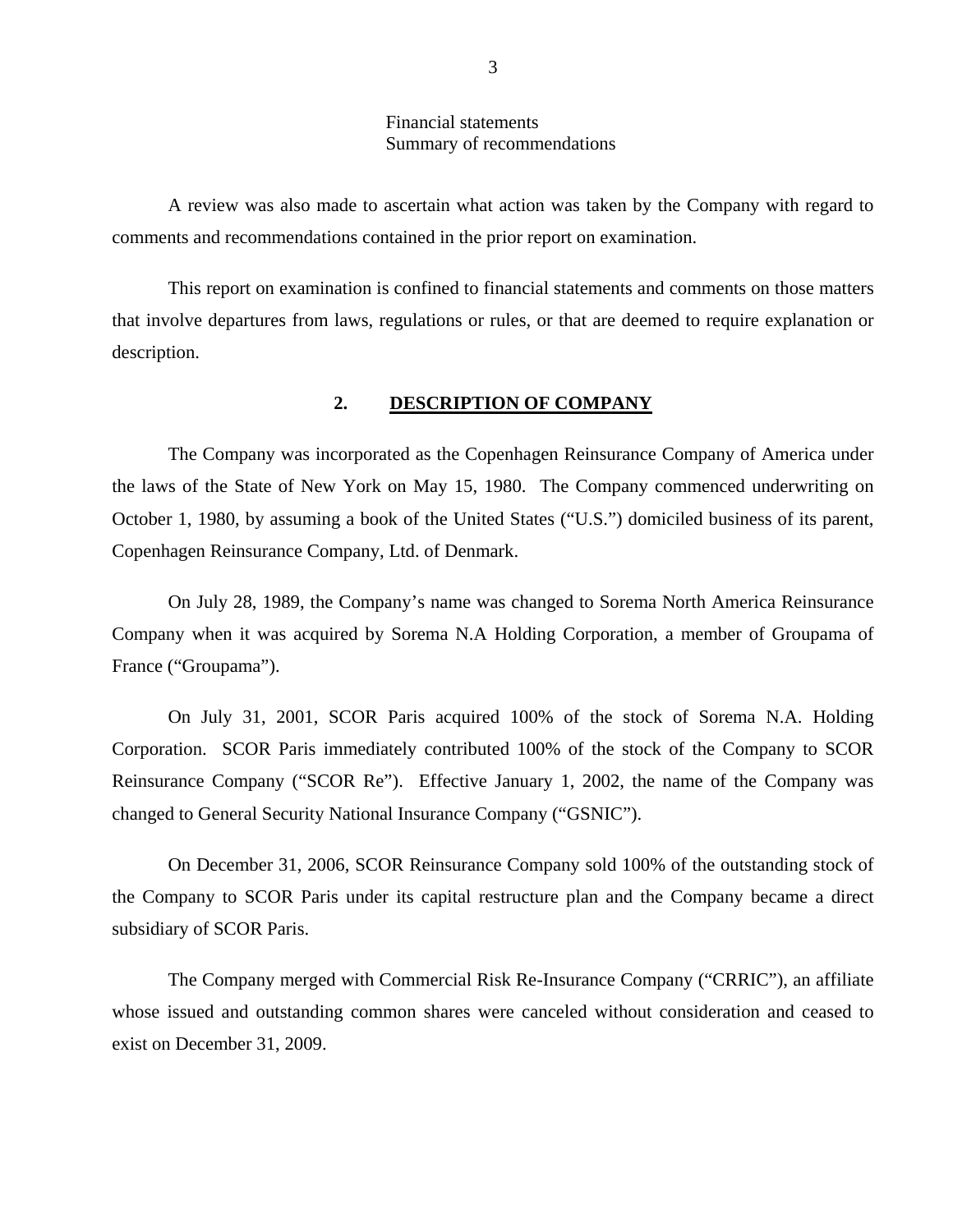#### Financial statements Summary of recommendations

<span id="page-4-0"></span>A review was also made to ascertain what action was taken by the Company with regard to comments and recommendations contained in the prior report on examination.

This report on examination is confined to financial statements and comments on those matters that involve departures from laws, regulations or rules, or that are deemed to require explanation or description.

### **2. DESCRIPTION OF COMPANY**

The Company was incorporated as the Copenhagen Reinsurance Company of America under the laws of the State of New York on May 15, 1980. The Company commenced underwriting on October 1, 1980, by assuming a book of the United States ("U.S.") domiciled business of its parent, Copenhagen Reinsurance Company, Ltd. of Denmark.

On July 28, 1989, the Company's name was changed to Sorema North America Reinsurance Company when it was acquired by Sorema N.A Holding Corporation, a member of Groupama of France ("Groupama").

On July 31, 2001, SCOR Paris acquired 100% of the stock of Sorema N.A. Holding Corporation. SCOR Paris immediately contributed 100% of the stock of the Company to SCOR Reinsurance Company ("SCOR Re"). Effective January 1, 2002, the name of the Company was changed to General Security National Insurance Company ("GSNIC").

On December 31, 2006, SCOR Reinsurance Company sold 100% of the outstanding stock of the Company to SCOR Paris under its capital restructure plan and the Company became a direct subsidiary of SCOR Paris.

The Company merged with Commercial Risk Re-Insurance Company ("CRRIC"), an affiliate whose issued and outstanding common shares were canceled without consideration and ceased to exist on December 31, 2009.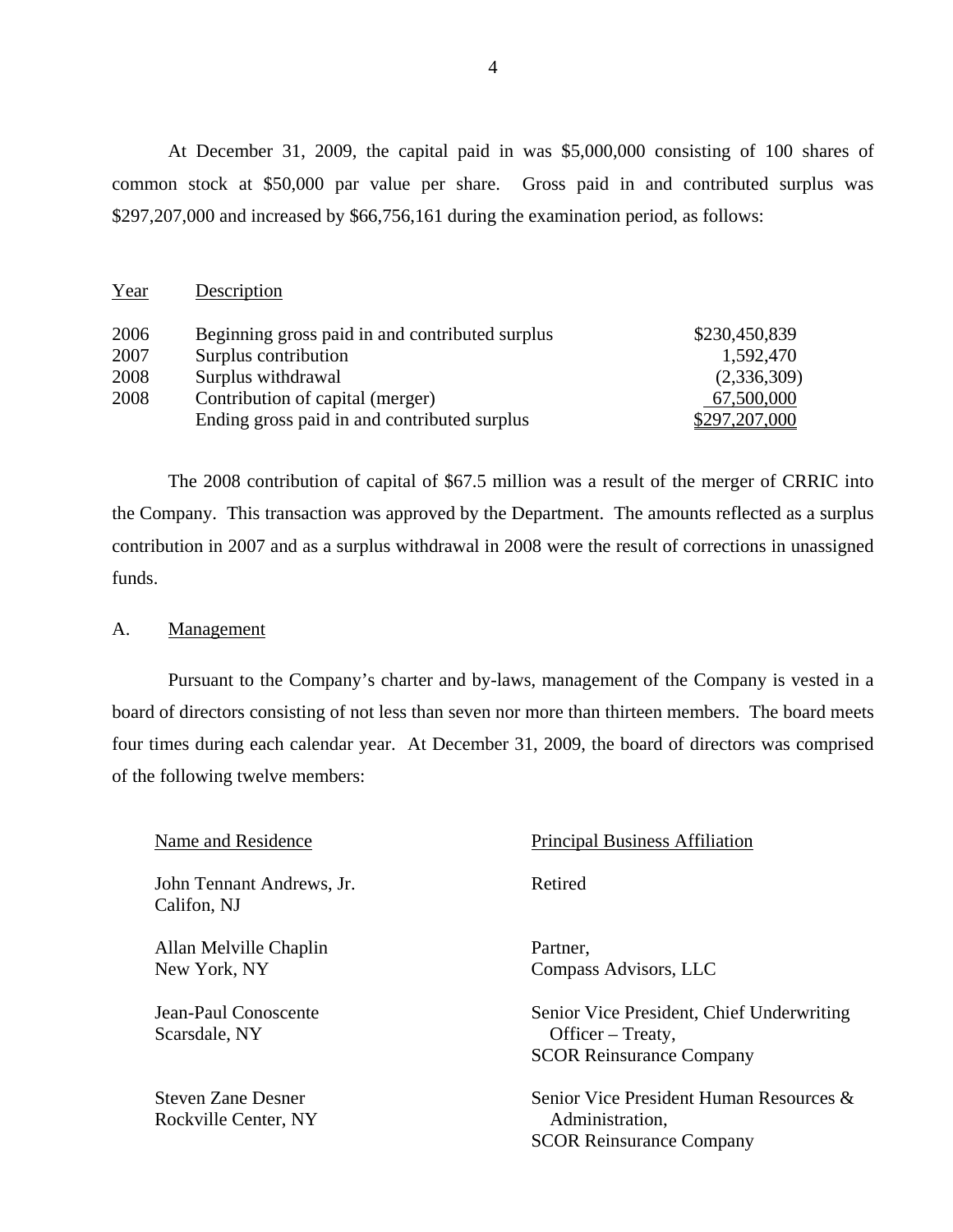At December 31, 2009, the capital paid in was \$5,000,000 consisting of 100 shares of common stock at \$50,000 par value per share. Gross paid in and contributed surplus was \$297,207,000 and increased by \$66,756,161 during the examination period, as follows:

| Year | Description                                     |               |
|------|-------------------------------------------------|---------------|
| 2006 | Beginning gross paid in and contributed surplus | \$230,450,839 |
| 2007 | Surplus contribution                            | 1,592,470     |
| 2008 | Surplus withdrawal                              | (2,336,309)   |
| 2008 | Contribution of capital (merger)                | 67,500,000    |
|      | Ending gross paid in and contributed surplus    | \$297,207,000 |

The 2008 contribution of capital of \$67.5 million was a result of the merger of CRRIC into the Company. This transaction was approved by the Department. The amounts reflected as a surplus contribution in 2007 and as a surplus withdrawal in 2008 were the result of corrections in unassigned funds.

#### A. Management

Pursuant to the Company's charter and by-laws, management of the Company is vested in a board of directors consisting of not less than seven nor more than thirteen members. The board meets four times during each calendar year. At December 31, 2009, the board of directors was comprised of the following twelve members:

| Name and Residence                                | <b>Principal Business Affiliation</b>                                                             |
|---------------------------------------------------|---------------------------------------------------------------------------------------------------|
| John Tennant Andrews, Jr.<br>Califon, NJ          | Retired                                                                                           |
| Allan Melville Chaplin<br>New York, NY            | Partner,<br>Compass Advisors, LLC                                                                 |
| Jean-Paul Conoscente<br>Scarsdale, NY             | Senior Vice President, Chief Underwriting<br>Officer – Treaty,<br><b>SCOR Reinsurance Company</b> |
| <b>Steven Zane Desner</b><br>Rockville Center, NY | Senior Vice President Human Resources &<br>Administration,<br><b>SCOR Reinsurance Company</b>     |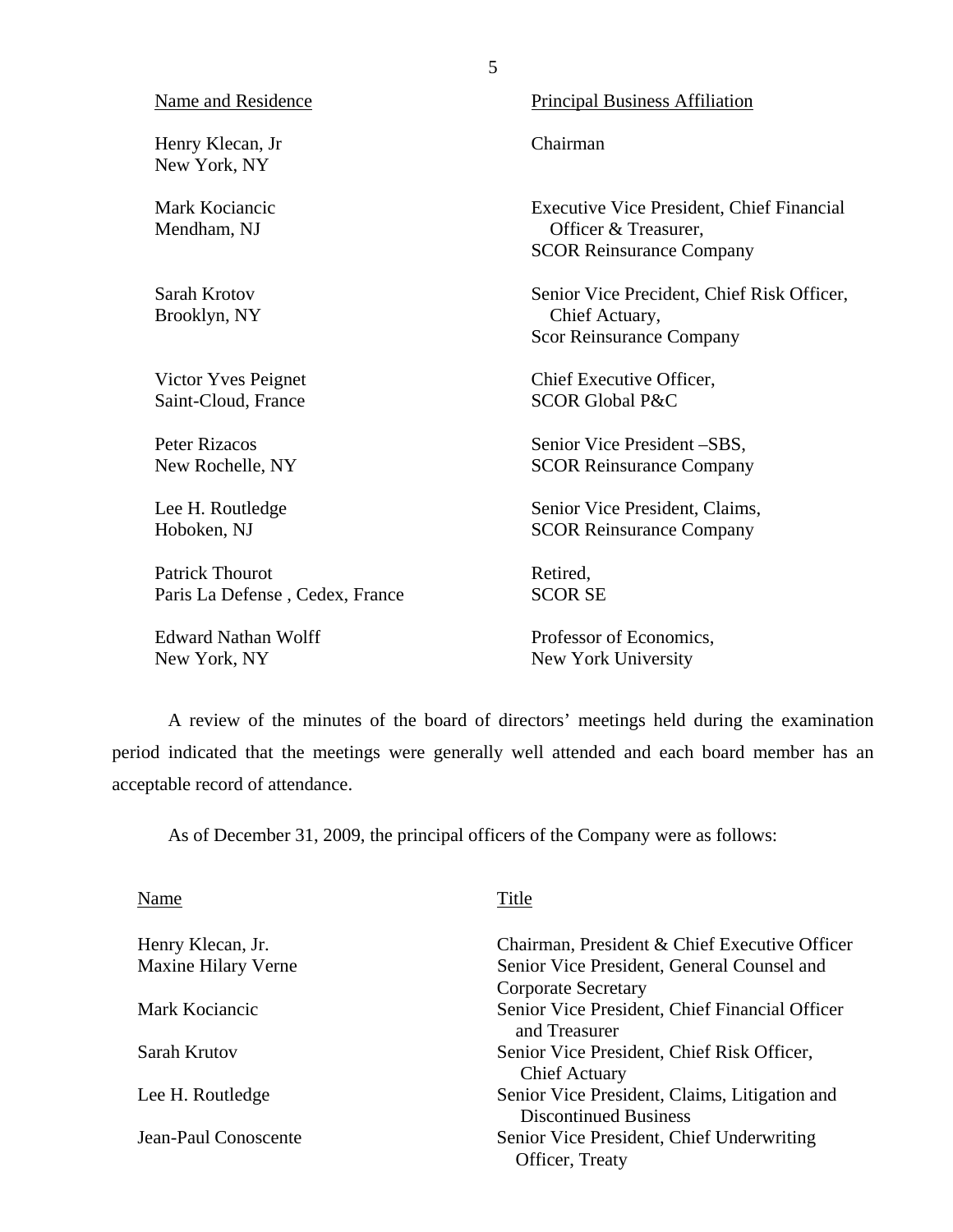| <b>Name and Residence</b>        | <b>Principal Business Affiliation</b>                                                                       |
|----------------------------------|-------------------------------------------------------------------------------------------------------------|
| Henry Klecan, Jr<br>New York, NY | Chairman                                                                                                    |
| Mark Kociancic<br>Mendham, NJ    | <b>Executive Vice President, Chief Financial</b><br>Officer & Treasurer,<br><b>SCOR Reinsurance Company</b> |
| Sarah Krotov<br>Brooklyn, NY     | Senior Vice Precident, Chief Risk Officer,<br>Chief Actuary,<br><b>Scor Reinsurance Company</b>             |
| Victor Yves Peignet              | Chief Executive Officer,                                                                                    |
| Saint-Cloud, France              | <b>SCOR Global P&amp;C</b>                                                                                  |
| <b>Peter Rizacos</b>             | Senior Vice President -SBS,                                                                                 |
| New Rochelle, NY                 | <b>SCOR Reinsurance Company</b>                                                                             |
| Lee H. Routledge                 | Senior Vice President, Claims,                                                                              |
| Hoboken, NJ                      | <b>SCOR Reinsurance Company</b>                                                                             |
| <b>Patrick Thourot</b>           | Retired,                                                                                                    |
| Paris La Defense, Cedex, France  | <b>SCOR SE</b>                                                                                              |
| <b>Edward Nathan Wolff</b>       | Professor of Economics,                                                                                     |
| New York, NY                     | New York University                                                                                         |

A review of the minutes of the board of directors' meetings held during the examination period indicated that the meetings were generally well attended and each board member has an acceptable record of attendance.

As of December 31, 2009, the principal officers of the Company were as follows:

| Name                       | Title                                                                         |
|----------------------------|-------------------------------------------------------------------------------|
| Henry Klecan, Jr.          | Chairman, President & Chief Executive Officer                                 |
| <b>Maxine Hilary Verne</b> | Senior Vice President, General Counsel and                                    |
|                            | <b>Corporate Secretary</b>                                                    |
| Mark Kociancic             | Senior Vice President, Chief Financial Officer<br>and Treasurer               |
| Sarah Krutov               | Senior Vice President, Chief Risk Officer,<br><b>Chief Actuary</b>            |
| Lee H. Routledge           | Senior Vice President, Claims, Litigation and<br><b>Discontinued Business</b> |
| Jean-Paul Conoscente       | Senior Vice President, Chief Underwriting<br>Officer, Treaty                  |

5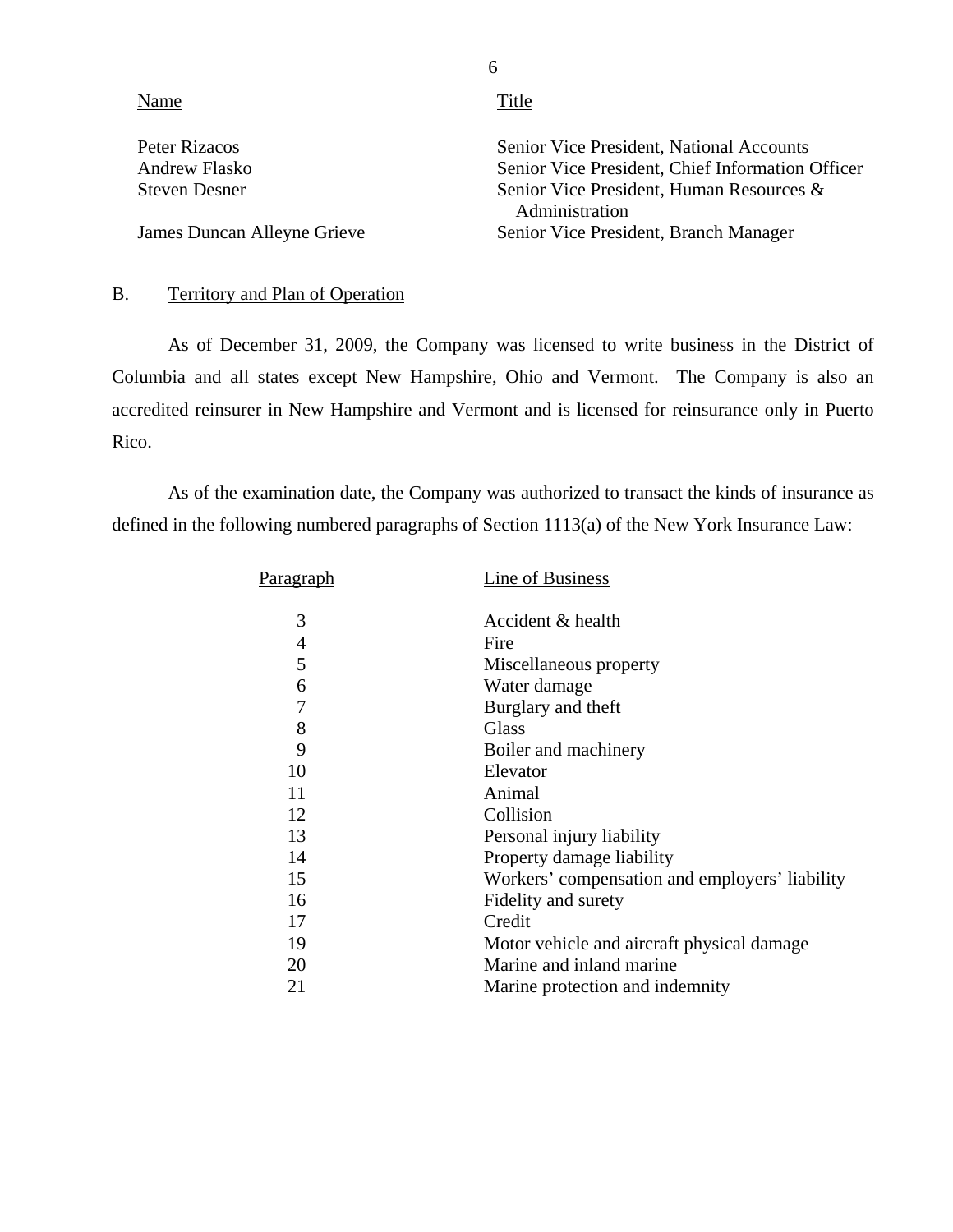| Name                        | Title                                                      |
|-----------------------------|------------------------------------------------------------|
| Peter Rizacos               | Senior Vice President, National Accounts                   |
| Andrew Flasko               | Senior Vice President, Chief Information Officer           |
| <b>Steven Desner</b>        | Senior Vice President, Human Resources &<br>Administration |
| James Duncan Alleyne Grieve | Senior Vice President, Branch Manager                      |

# B. Territory and Plan of Operation

As of December 31, 2009, the Company was licensed to write business in the District of Columbia and all states except New Hampshire, Ohio and Vermont. The Company is also an accredited reinsurer in New Hampshire and Vermont and is licensed for reinsurance only in Puerto Rico.

As of the examination date, the Company was authorized to transact the kinds of insurance as defined in the following numbered paragraphs of Section 1113(a) of the New York Insurance Law:

| P <u>aragraph</u> | Line of Business                               |
|-------------------|------------------------------------------------|
| 3                 | Accident & health                              |
| 4                 | Fire                                           |
| 5                 | Miscellaneous property                         |
| 6                 | Water damage                                   |
| 7                 | Burglary and theft                             |
| 8                 | Glass                                          |
| 9                 | Boiler and machinery                           |
| 10                | Elevator                                       |
| 11                | Animal                                         |
| 12                | Collision                                      |
| 13                | Personal injury liability                      |
| 14                | Property damage liability                      |
| 15                | Workers' compensation and employers' liability |
| 16                | Fidelity and surety                            |
| 17                | Credit                                         |
| 19                | Motor vehicle and aircraft physical damage     |
| 20                | Marine and inland marine                       |
| 21                | Marine protection and indemnity                |

6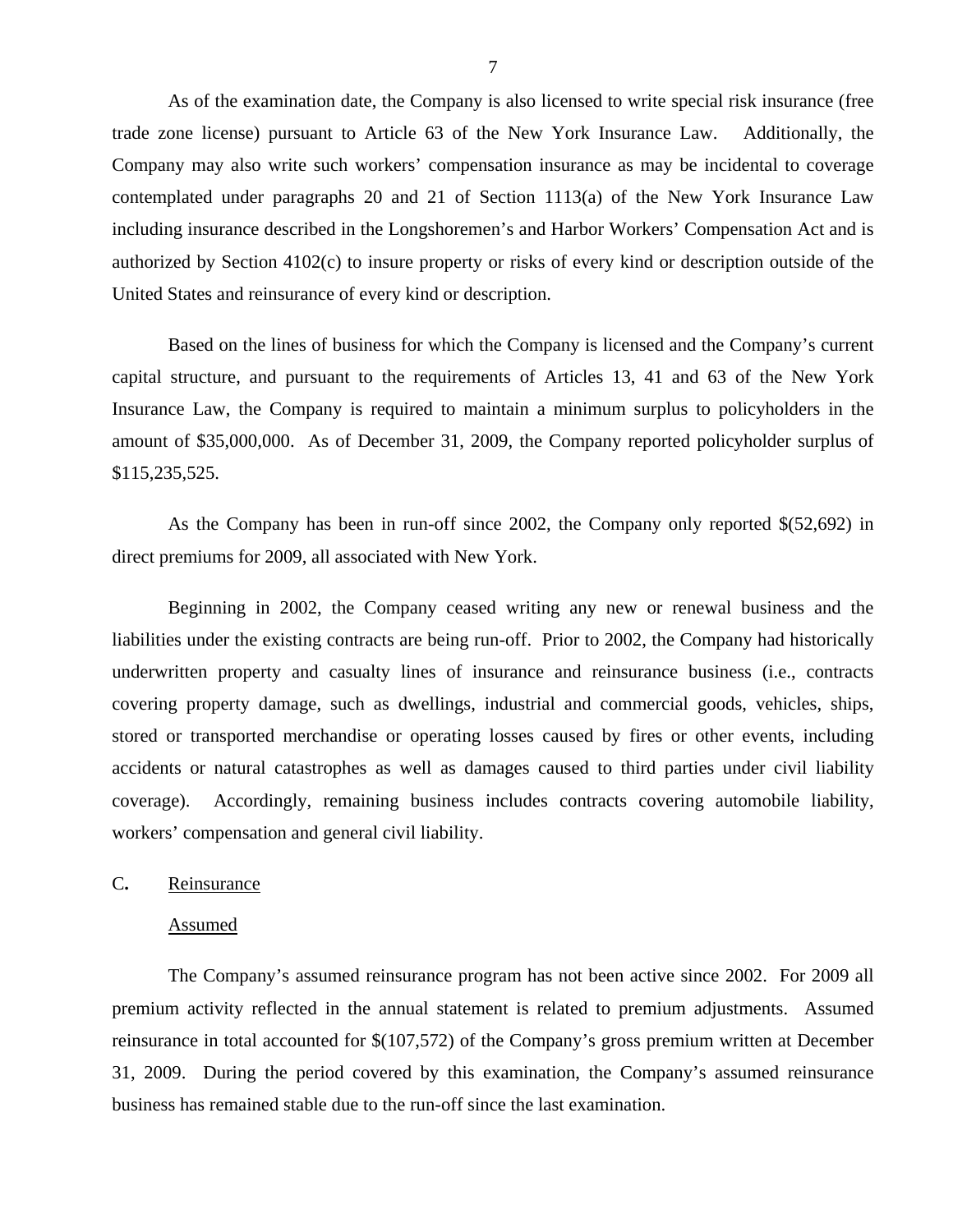<span id="page-8-0"></span>As of the examination date, the Company is also licensed to write special risk insurance (free trade zone license) pursuant to Article 63 of the New York Insurance Law. Additionally, the Company may also write such workers' compensation insurance as may be incidental to coverage contemplated under paragraphs 20 and 21 of Section 1113(a) of the New York Insurance Law including insurance described in the Longshoremen's and Harbor Workers' Compensation Act and is authorized by Section 4102(c) to insure property or risks of every kind or description outside of the United States and reinsurance of every kind or description.

Based on the lines of business for which the Company is licensed and the Company's current capital structure, and pursuant to the requirements of Articles 13, 41 and 63 of the New York Insurance Law, the Company is required to maintain a minimum surplus to policyholders in the amount of \$35,000,000. As of December 31, 2009, the Company reported policyholder surplus of \$115,235,525.

As the Company has been in run-off since 2002, the Company only reported \$(52,692) in direct premiums for 2009, all associated with New York.

Beginning in 2002, the Company ceased writing any new or renewal business and the liabilities under the existing contracts are being run-off. Prior to 2002, the Company had historically underwritten property and casualty lines of insurance and reinsurance business (i.e., contracts covering property damage, such as dwellings, industrial and commercial goods, vehicles, ships, stored or transported merchandise or operating losses caused by fires or other events, including accidents or natural catastrophes as well as damages caused to third parties under civil liability coverage). Accordingly, remaining business includes contracts covering automobile liability, workers' compensation and general civil liability.

#### C**.** Reinsurance

#### Assumed

The Company's assumed reinsurance program has not been active since 2002. For 2009 all premium activity reflected in the annual statement is related to premium adjustments. Assumed reinsurance in total accounted for \$(107,572) of the Company's gross premium written at December 31, 2009. During the period covered by this examination, the Company's assumed reinsurance business has remained stable due to the run-off since the last examination.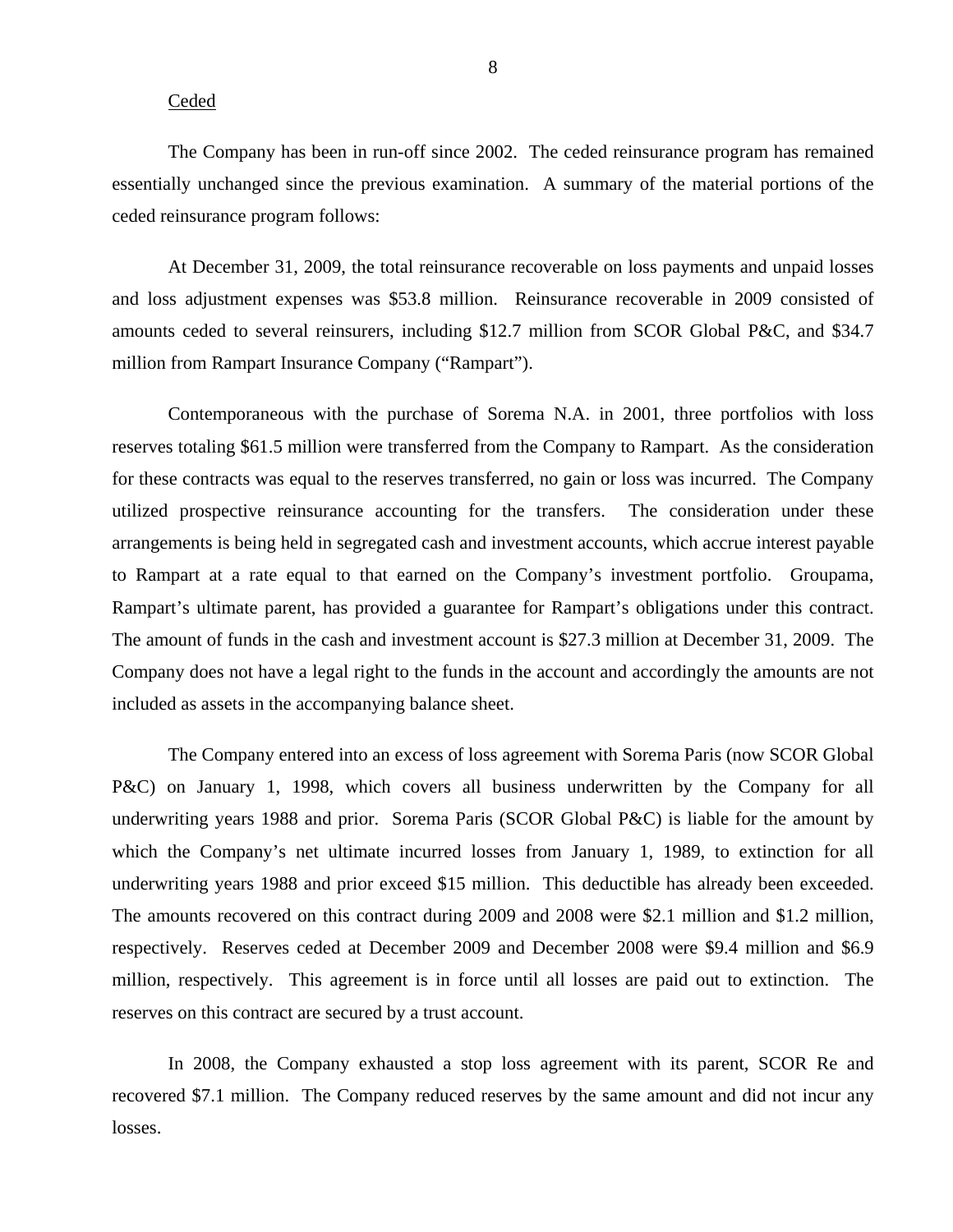#### Ceded

The Company has been in run-off since 2002. The ceded reinsurance program has remained essentially unchanged since the previous examination. A summary of the material portions of the ceded reinsurance program follows:

At December 31, 2009, the total reinsurance recoverable on loss payments and unpaid losses and loss adjustment expenses was \$53.8 million. Reinsurance recoverable in 2009 consisted of amounts ceded to several reinsurers, including \$12.7 million from SCOR Global P&C, and \$34.7 million from Rampart Insurance Company ("Rampart").

 Rampart's ultimate parent, has provided a guarantee for Rampart's obligations under this contract. The amount of funds in the cash and investment account is \$27.3 million at December 31, 2009. The Contemporaneous with the purchase of Sorema N.A. in 2001, three portfolios with loss reserves totaling \$61.5 million were transferred from the Company to Rampart. As the consideration for these contracts was equal to the reserves transferred, no gain or loss was incurred. The Company utilized prospective reinsurance accounting for the transfers. The consideration under these arrangements is being held in segregated cash and investment accounts, which accrue interest payable to Rampart at a rate equal to that earned on the Company's investment portfolio. Groupama, Company does not have a legal right to the funds in the account and accordingly the amounts are not included as assets in the accompanying balance sheet.

underwriting years 1988 and prior exceed \$15 million. This deductible has already been exceeded. The Company entered into an excess of loss agreement with Sorema Paris (now SCOR Global P&C) on January 1, 1998, which covers all business underwritten by the Company for all underwriting years 1988 and prior. Sorema Paris (SCOR Global P&C) is liable for the amount by which the Company's net ultimate incurred losses from January 1, 1989, to extinction for all The amounts recovered on this contract during 2009 and 2008 were \$2.1 million and \$1.2 million, respectively. Reserves ceded at December 2009 and December 2008 were \$9.4 million and \$6.9 million, respectively. This agreement is in force until all losses are paid out to extinction. The reserves on this contract are secured by a trust account.

In 2008, the Company exhausted a stop loss agreement with its parent, SCOR Re and recovered \$7.1 million. The Company reduced reserves by the same amount and did not incur any losses.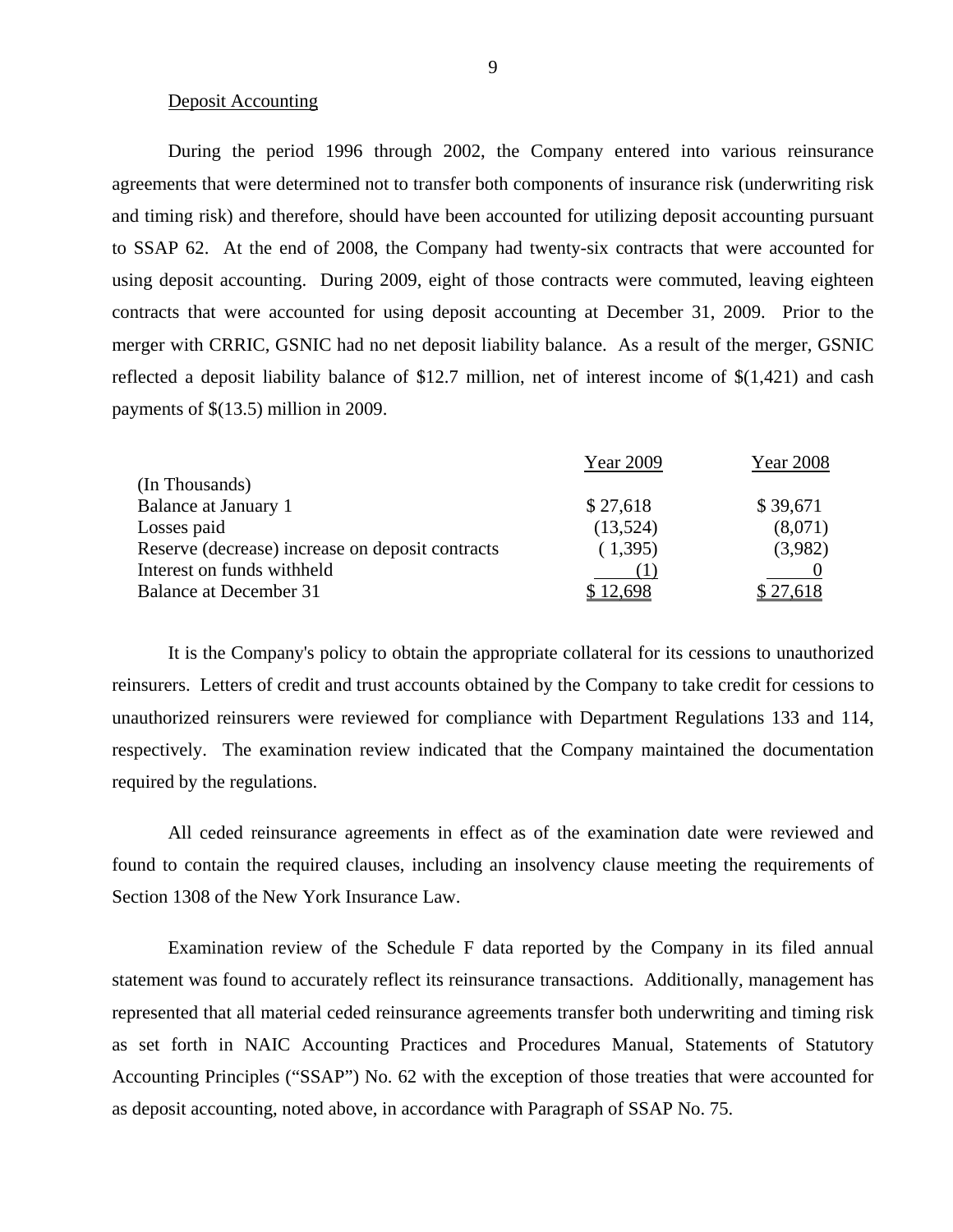#### Deposit Accounting

During the period 1996 through 2002, the Company entered into various reinsurance agreements that were determined not to transfer both components of insurance risk (underwriting risk and timing risk) and therefore, should have been accounted for utilizing deposit accounting pursuant to SSAP 62. At the end of 2008, the Company had twenty-six contracts that were accounted for using deposit accounting. During 2009, eight of those contracts were commuted, leaving eighteen contracts that were accounted for using deposit accounting at December 31, 2009. Prior to the merger with CRRIC, GSNIC had no net deposit liability balance. As a result of the merger, GSNIC reflected a deposit liability balance of \$12.7 million, net of interest income of \$(1,421) and cash payments of \$(13.5) million in 2009.

|                                                  | Year 2009 | Year 2008   |
|--------------------------------------------------|-----------|-------------|
| (In Thousands)                                   |           |             |
| <b>Balance at January 1</b>                      | \$27,618  | \$39,671    |
| Losses paid                                      | (13,524)  | (8,071)     |
| Reserve (decrease) increase on deposit contracts | (1,395)   | (3,982)     |
| Interest on funds withheld                       |           |             |
| <b>Balance at December 31</b>                    | 12.698    | $\cdot$ 61× |
|                                                  |           |             |

It is the Company's policy to obtain the appropriate collateral for its cessions to unauthorized reinsurers. Letters of credit and trust accounts obtained by the Company to take credit for cessions to unauthorized reinsurers were reviewed for compliance with Department Regulations 133 and 114, respectively. The examination review indicated that the Company maintained the documentation required by the regulations.

All ceded reinsurance agreements in effect as of the examination date were reviewed and found to contain the required clauses, including an insolvency clause meeting the requirements of Section 1308 of the New York Insurance Law.

Examination review of the Schedule F data reported by the Company in its filed annual statement was found to accurately reflect its reinsurance transactions. Additionally, management has represented that all material ceded reinsurance agreements transfer both underwriting and timing risk as set forth in NAIC Accounting Practices and Procedures Manual, Statements of Statutory Accounting Principles ("SSAP") No. 62 with the exception of those treaties that were accounted for as deposit accounting, noted above, in accordance with Paragraph of SSAP No. 75.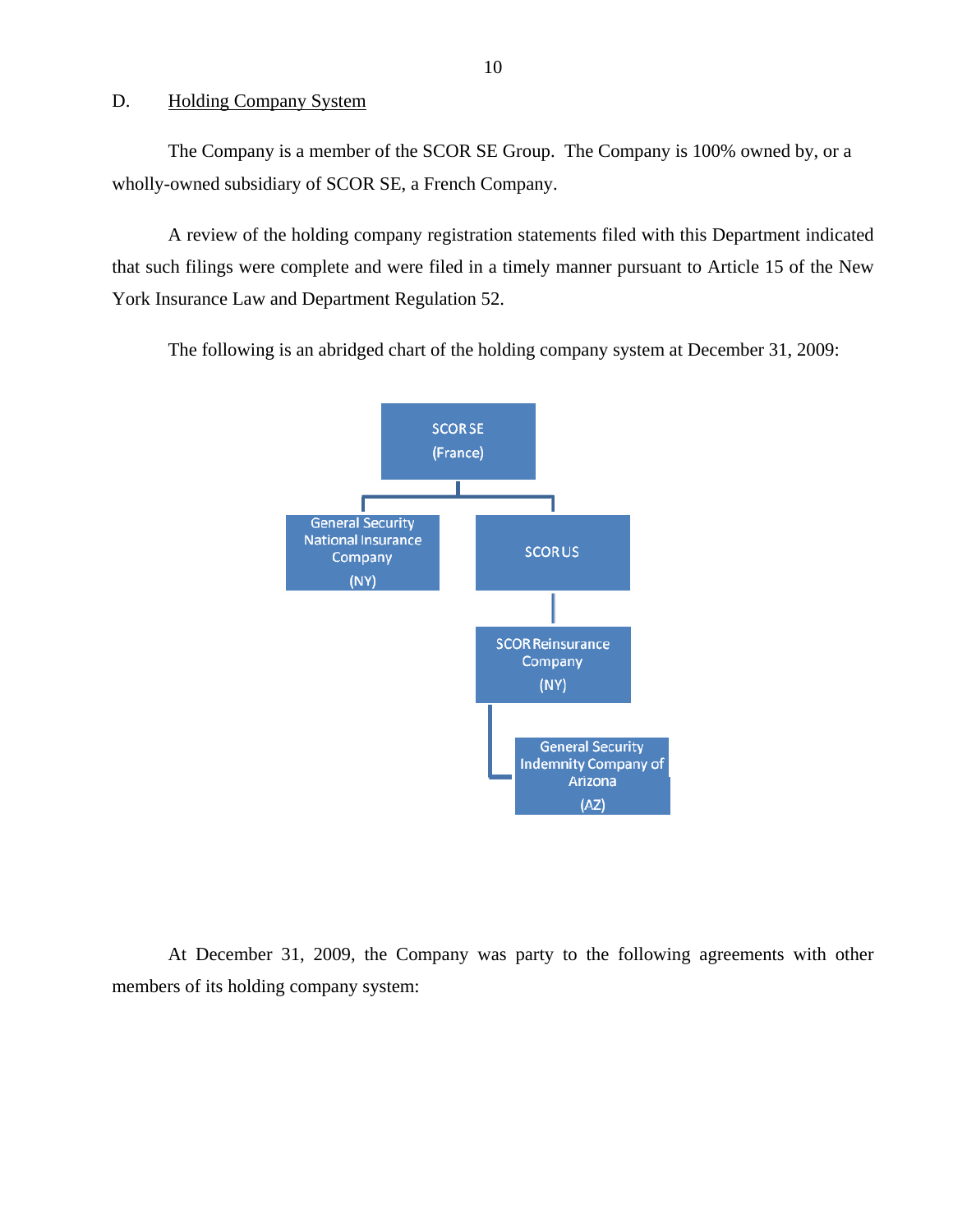#### <span id="page-11-0"></span>D. Holding Company System

The Company is a member of the SCOR SE Group. The Company is 100% owned by, or a wholly-owned subsidiary of SCOR SE, a French Company.

A review of the holding company registration statements filed with this Department indicated that such filings were complete and were filed in a timely manner pursuant to Article 15 of the New York Insurance Law and Department Regulation 52.

The following is an abridged chart of the holding company system at December 31, 2009:



At December 31, 2009, the Company was party to the following agreements with other members of its holding company system: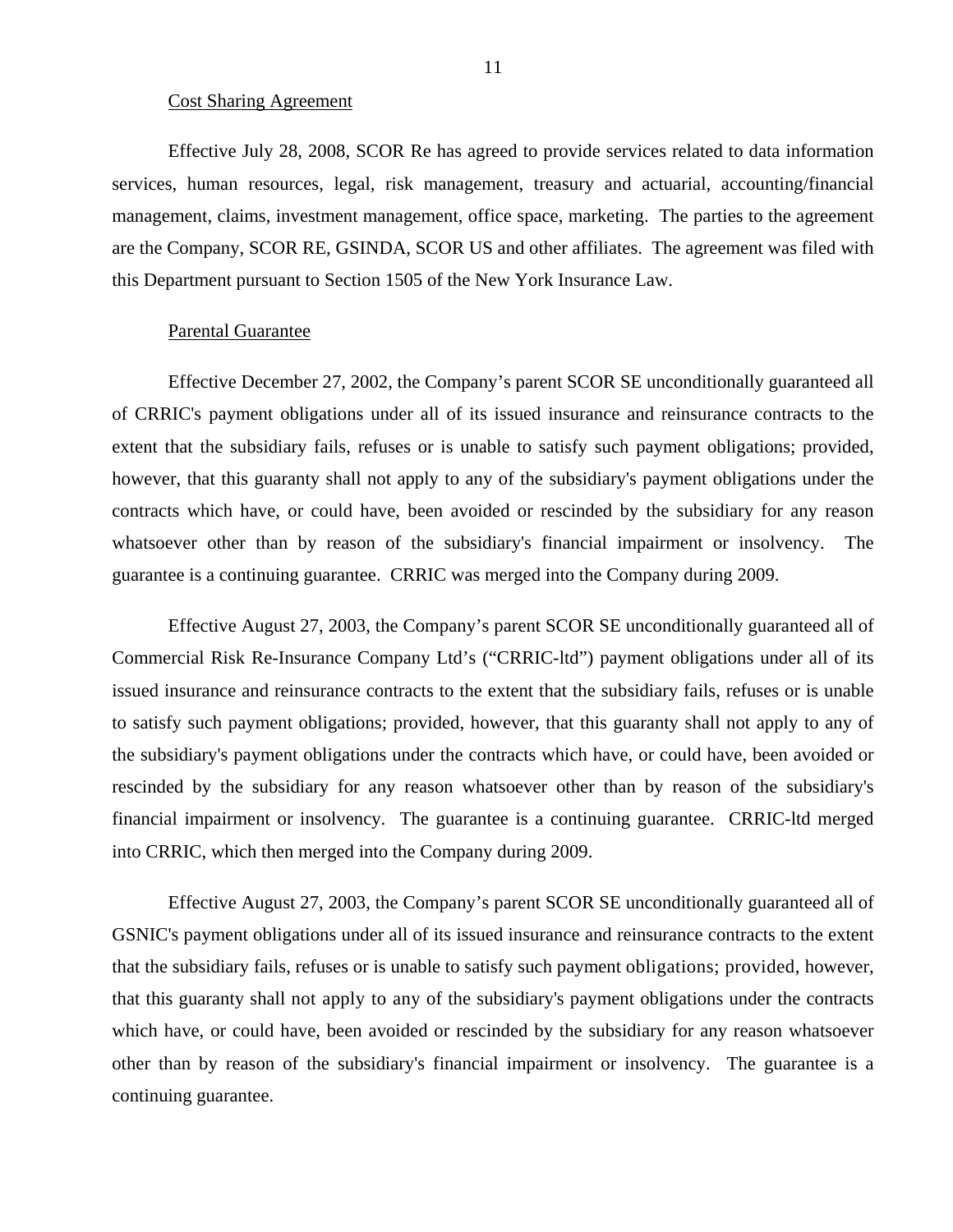#### Cost Sharing Agreement

Effective July 28, 2008, SCOR Re has agreed to provide services related to data information services, human resources, legal, risk management, treasury and actuarial, accounting/financial management, claims, investment management, office space, marketing. The parties to the agreement are the Company, SCOR RE, GSINDA, SCOR US and other affiliates. The agreement was filed with this Department pursuant to Section 1505 of the New York Insurance Law.

#### Parental Guarantee

Effective December 27, 2002, the Company's parent SCOR SE unconditionally guaranteed all of CRRIC's payment obligations under all of its issued insurance and reinsurance contracts to the extent that the subsidiary fails, refuses or is unable to satisfy such payment obligations; provided, however, that this guaranty shall not apply to any of the subsidiary's payment obligations under the contracts which have, or could have, been avoided or rescinded by the subsidiary for any reason whatsoever other than by reason of the subsidiary's financial impairment or insolvency. The guarantee is a continuing guarantee. CRRIC was merged into the Company during 2009.

Effective August 27, 2003, the Company's parent SCOR SE unconditionally guaranteed all of Commercial Risk Re-Insurance Company Ltd's ("CRRIC-ltd") payment obligations under all of its issued insurance and reinsurance contracts to the extent that the subsidiary fails, refuses or is unable to satisfy such payment obligations; provided, however, that this guaranty shall not apply to any of the subsidiary's payment obligations under the contracts which have, or could have, been avoided or rescinded by the subsidiary for any reason whatsoever other than by reason of the subsidiary's financial impairment or insolvency. The guarantee is a continuing guarantee. CRRIC-ltd merged into CRRIC, which then merged into the Company during 2009.

Effective August 27, 2003, the Company's parent SCOR SE unconditionally guaranteed all of GSNIC's payment obligations under all of its issued insurance and reinsurance contracts to the extent that the subsidiary fails, refuses or is unable to satisfy such payment obligations; provided, however, that this guaranty shall not apply to any of the subsidiary's payment obligations under the contracts which have, or could have, been avoided or rescinded by the subsidiary for any reason whatsoever other than by reason of the subsidiary's financial impairment or insolvency. The guarantee is a continuing guarantee.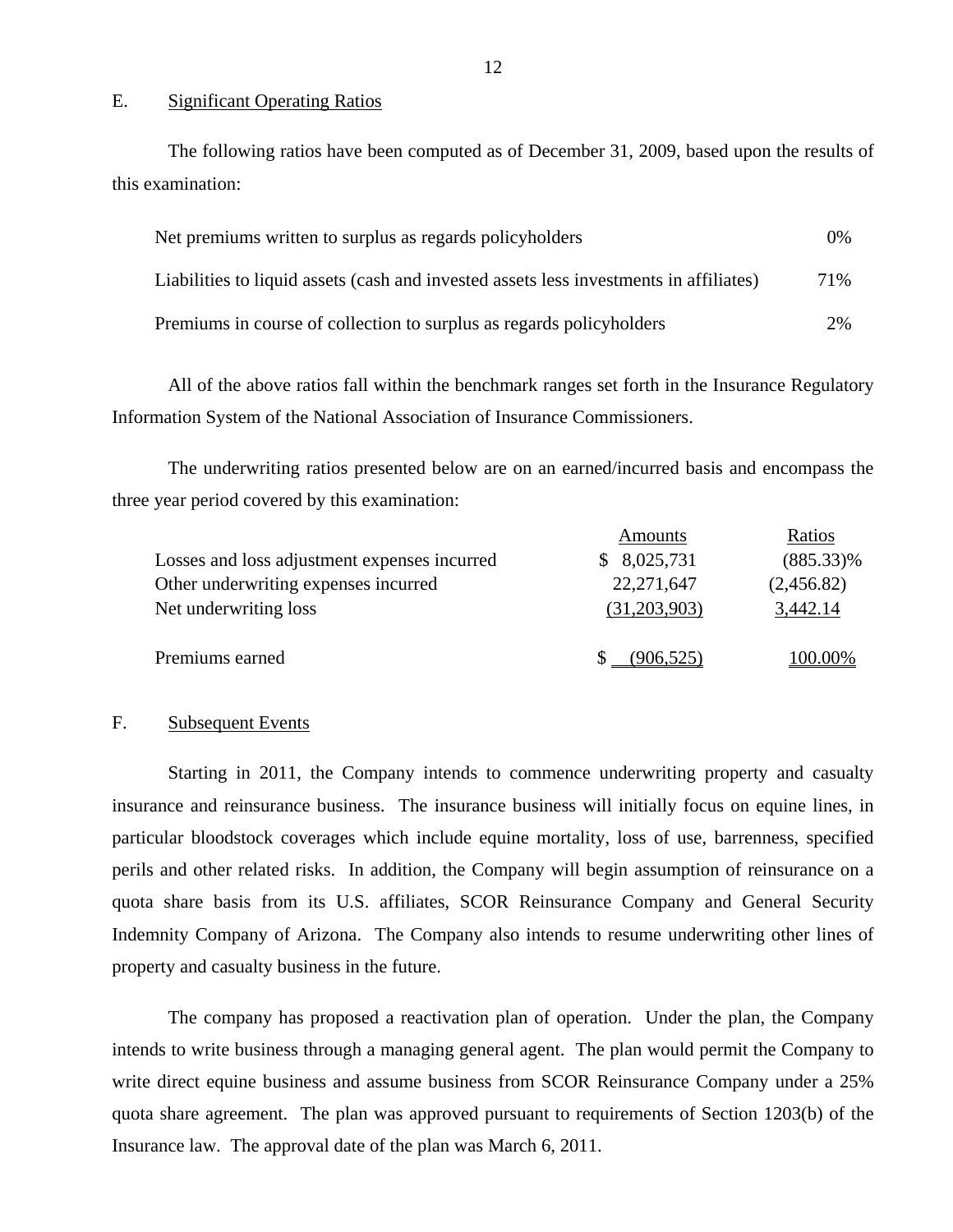#### E. Significant Operating Ratios

The following ratios have been computed as of December 31, 2009, based upon the results of this examination:

| Net premiums written to surplus as regards policyholders                               |      |
|----------------------------------------------------------------------------------------|------|
| Liabilities to liquid assets (cash and invested assets less investments in affiliates) | 71\% |
| Premiums in course of collection to surplus as regards policyholders                   | 2%   |

All of the above ratios fall within the benchmark ranges set forth in the Insurance Regulatory Information System of the National Association of Insurance Commissioners.

The underwriting ratios presented below are on an earned/incurred basis and encompass the three year period covered by this examination:

|                                              | Amounts      | Ratios       |
|----------------------------------------------|--------------|--------------|
| Losses and loss adjustment expenses incurred | \$8,025,731  | $(885.33)\%$ |
| Other underwriting expenses incurred         | 22, 271, 647 | (2,456.82)   |
| Net underwriting loss                        | (31,203,903) | 3,442.14     |
|                                              |              |              |
| Premiums earned                              | (906, 525)   | 100.00%      |

#### F. Subsequent Events

 Indemnity Company of Arizona. The Company also intends to resume underwriting other lines of Starting in 2011, the Company intends to commence underwriting property and casualty insurance and reinsurance business. The insurance business will initially focus on equine lines, in particular bloodstock coverages which include equine mortality, loss of use, barrenness, specified perils and other related risks. In addition, the Company will begin assumption of reinsurance on a quota share basis from its U.S. affiliates, SCOR Reinsurance Company and General Security property and casualty business in the future.

The company has proposed a reactivation plan of operation. Under the plan, the Company intends to write business through a managing general agent. The plan would permit the Company to write direct equine business and assume business from SCOR Reinsurance Company under a 25% quota share agreement. The plan was approved pursuant to requirements of Section 1203(b) of the Insurance law. The approval date of the plan was March 6, 2011.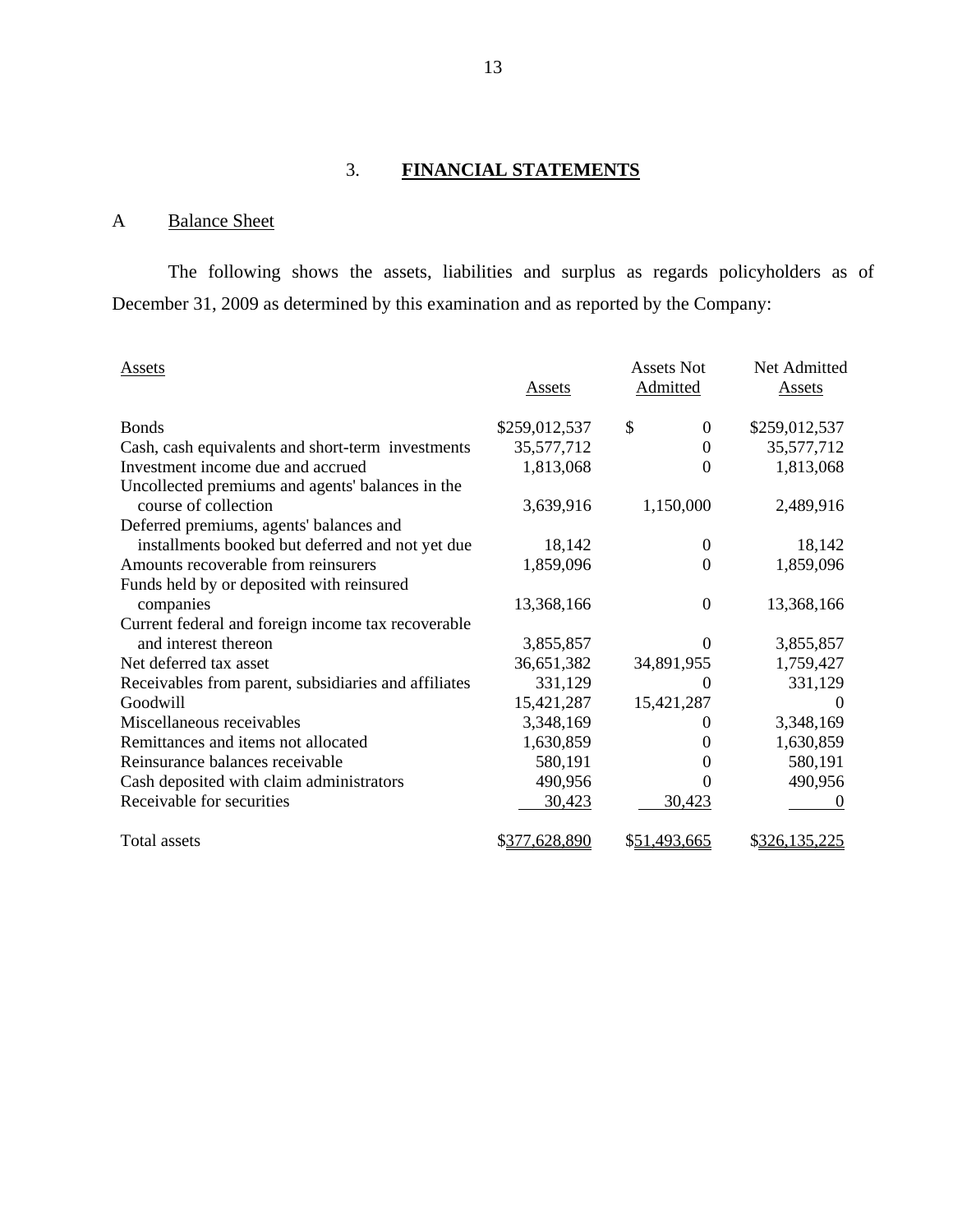# 3. **FINANCIAL STATEMENTS**

# A Balance Sheet

The following shows the assets, liabilities and surplus as regards policyholders as of December 31, 2009 as determined by this examination and as reported by the Company:

| Assets                                               | Assets        | Assets Not<br>Admitted | Net Admitted<br><b>Assets</b> |
|------------------------------------------------------|---------------|------------------------|-------------------------------|
|                                                      |               |                        |                               |
| <b>Bonds</b>                                         | \$259,012,537 | \$<br>$\theta$         | \$259,012,537                 |
| Cash, cash equivalents and short-term investments    | 35,577,712    | $\theta$               | 35,577,712                    |
| Investment income due and accrued                    | 1,813,068     | $\Omega$               | 1,813,068                     |
| Uncollected premiums and agents' balances in the     |               |                        |                               |
| course of collection                                 | 3,639,916     | 1,150,000              | 2,489,916                     |
| Deferred premiums, agents' balances and              |               |                        |                               |
| installments booked but deferred and not yet due     | 18,142        | 0                      | 18,142                        |
| Amounts recoverable from reinsurers                  | 1,859,096     | $\Omega$               | 1,859,096                     |
| Funds held by or deposited with reinsured            |               |                        |                               |
| companies                                            | 13,368,166    | $\theta$               | 13,368,166                    |
| Current federal and foreign income tax recoverable   |               |                        |                               |
| and interest thereon                                 | 3,855,857     | $\Omega$               | 3,855,857                     |
| Net deferred tax asset                               | 36,651,382    | 34,891,955             | 1,759,427                     |
| Receivables from parent, subsidiaries and affiliates | 331,129       |                        | 331,129                       |
| Goodwill                                             | 15,421,287    | 15,421,287             | $\Omega$                      |
| Miscellaneous receivables                            | 3,348,169     |                        | 3,348,169                     |
| Remittances and items not allocated                  | 1,630,859     | 0                      | 1,630,859                     |
| Reinsurance balances receivable                      | 580,191       | $\theta$               | 580,191                       |
| Cash deposited with claim administrators             | 490,956       | 0                      | 490,956                       |
| Receivable for securities                            | 30,423        | 30,423                 | $\theta$                      |
| Total assets                                         | \$377,628,890 | \$51,493,665           | \$326,135,225                 |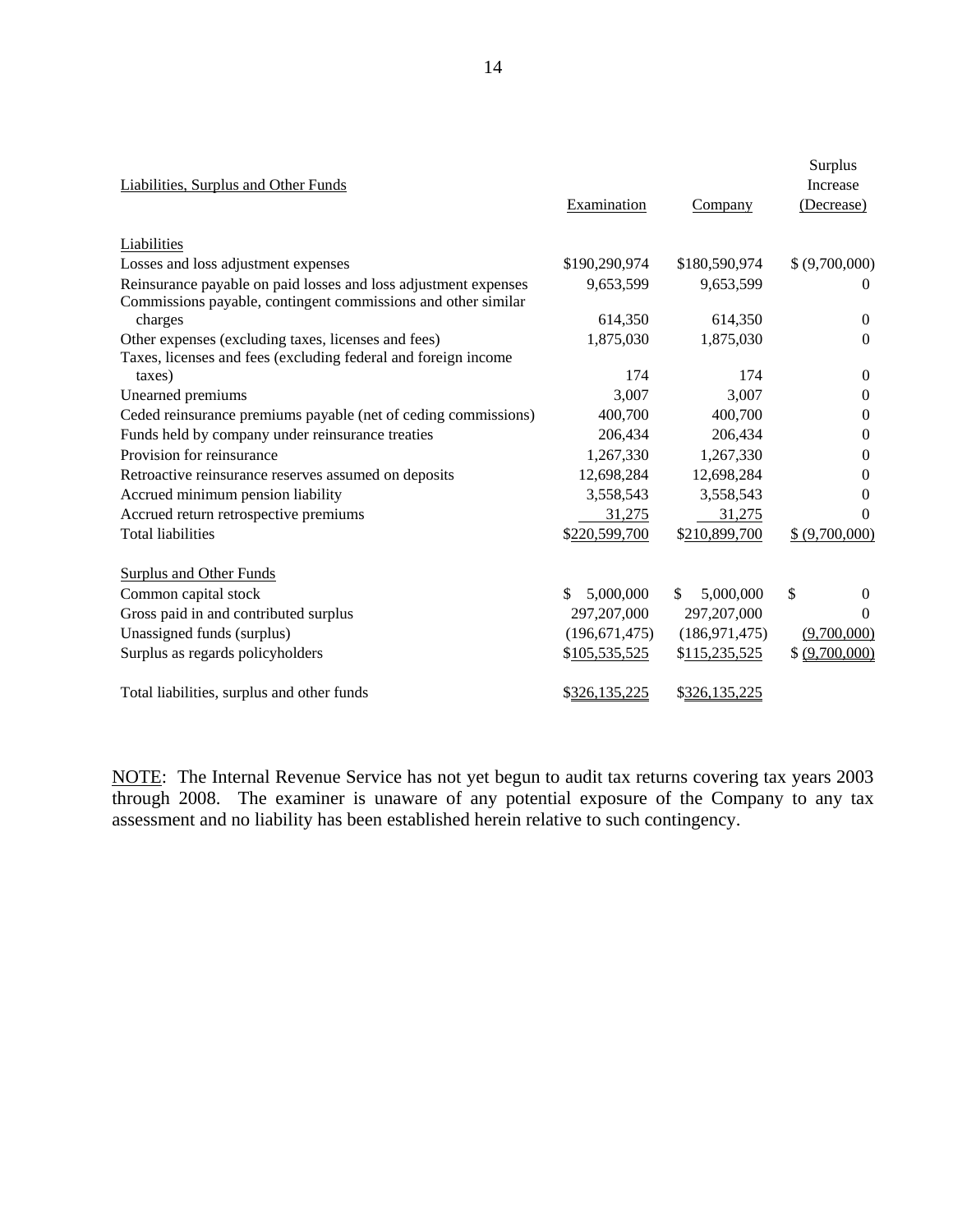| Liabilities, Surplus and Other Funds                            | Examination      | Company         | Surplus<br><b>Increase</b><br>(Decrease) |
|-----------------------------------------------------------------|------------------|-----------------|------------------------------------------|
| Liabilities                                                     |                  |                 |                                          |
| Losses and loss adjustment expenses                             | \$190,290,974    | \$180,590,974   | \$ (9,700,000)                           |
| Reinsurance payable on paid losses and loss adjustment expenses | 9,653,599        | 9,653,599       | $\overline{0}$                           |
| Commissions payable, contingent commissions and other similar   |                  |                 |                                          |
| charges                                                         | 614,350          | 614,350         | $\mathbf{0}$                             |
| Other expenses (excluding taxes, licenses and fees)             | 1,875,030        | 1,875,030       | $\Omega$                                 |
| Taxes, licenses and fees (excluding federal and foreign income  |                  |                 |                                          |
| taxes)                                                          | 174              | 174             | $\Omega$                                 |
| Unearned premiums                                               | 3,007            | 3,007           | $\boldsymbol{0}$                         |
| Ceded reinsurance premiums payable (net of ceding commissions)  | 400,700          | 400,700         | $\mathbf{0}$                             |
| Funds held by company under reinsurance treaties                | 206,434          | 206,434         | $\mathbf{0}$                             |
| Provision for reinsurance                                       | 1,267,330        | 1,267,330       | $\mathbf{0}$                             |
| Retroactive reinsurance reserves assumed on deposits            | 12,698,284       | 12,698,284      | $\mathbf{0}$                             |
| Accrued minimum pension liability                               | 3,558,543        | 3,558,543       | $\theta$                                 |
| Accrued return retrospective premiums                           | 31,275           | 31,275          | $\Omega$                                 |
| <b>Total liabilities</b>                                        | \$220,599,700    | \$210,899,700   | \$ (9,700,000)                           |
| <b>Surplus and Other Funds</b>                                  |                  |                 |                                          |
| Common capital stock                                            | 5,000,000<br>\$. | 5,000,000<br>S. | \$<br>$\Omega$                           |
| Gross paid in and contributed surplus                           | 297,207,000      | 297,207,000     | $\theta$                                 |
| Unassigned funds (surplus)                                      | (196, 671, 475)  | (186, 971, 475) | (9,700,000)                              |
| Surplus as regards policyholders                                | \$105,535,525    | \$115,235,525   | \$ (9,700,000)                           |
| Total liabilities, surplus and other funds                      | \$326,135,225    | \$326,135,225   |                                          |

NOTE: The Internal Revenue Service has not yet begun to audit tax returns covering tax years 2003 through 2008. The examiner is unaware of any potential exposure of the Company to any tax assessment and no liability has been established herein relative to such contingency.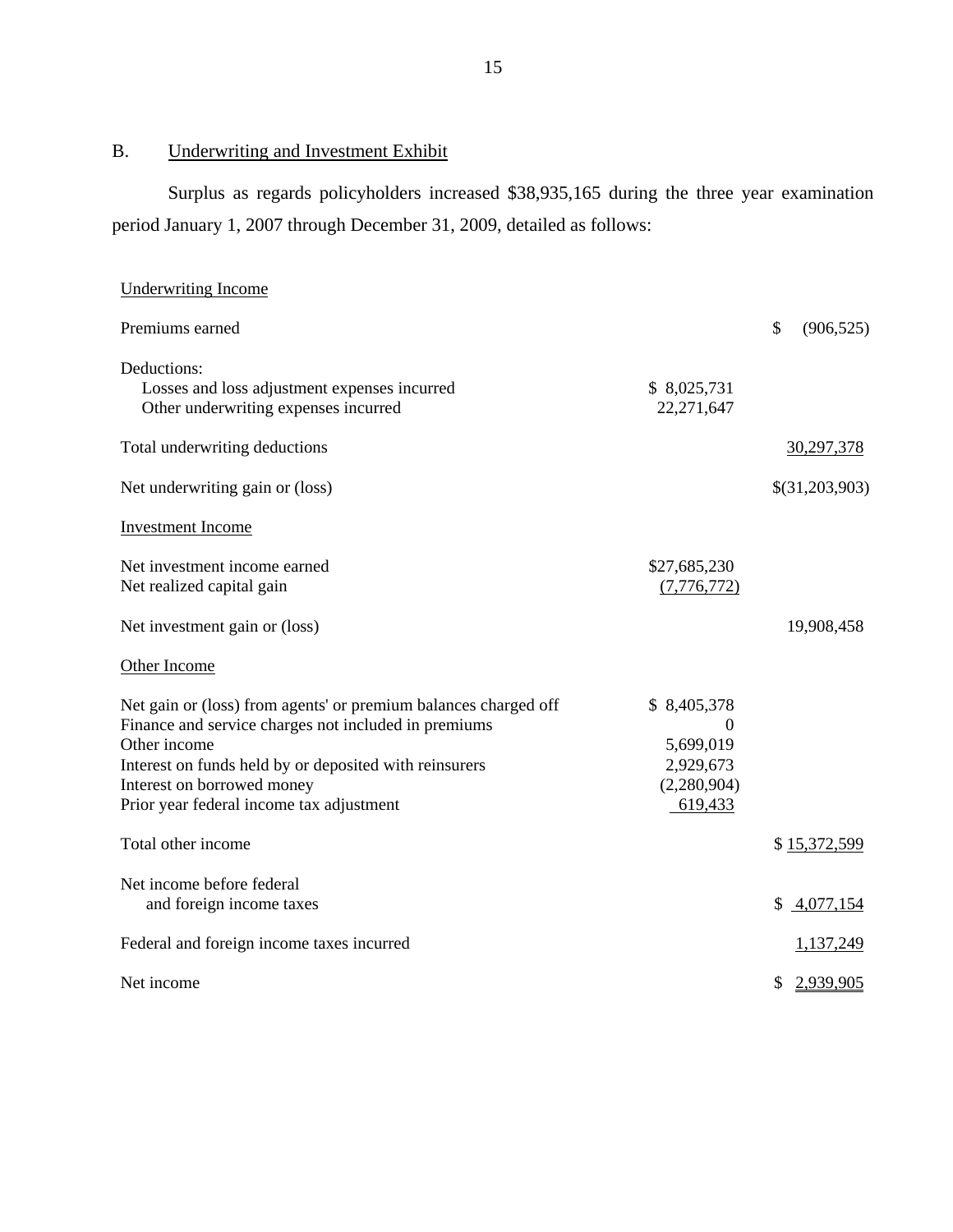# B. Underwriting and Investment Exhibit

Surplus as regards policyholders increased \$38,935,165 during the three year examination period January 1, 2007 through December 31, 2009, detailed as follows:

| <b>Underwriting Income</b>                                                                                                                                                                                                                                                  |                                                                      |                  |
|-----------------------------------------------------------------------------------------------------------------------------------------------------------------------------------------------------------------------------------------------------------------------------|----------------------------------------------------------------------|------------------|
| Premiums earned                                                                                                                                                                                                                                                             |                                                                      | \$<br>(906, 525) |
| Deductions:<br>Losses and loss adjustment expenses incurred<br>Other underwriting expenses incurred                                                                                                                                                                         | \$8,025,731<br>22,271,647                                            |                  |
| Total underwriting deductions                                                                                                                                                                                                                                               |                                                                      | 30,297,378       |
| Net underwriting gain or (loss)                                                                                                                                                                                                                                             |                                                                      | \$(31,203,903)   |
| <b>Investment Income</b>                                                                                                                                                                                                                                                    |                                                                      |                  |
| Net investment income earned<br>Net realized capital gain                                                                                                                                                                                                                   | \$27,685,230<br>(7, 776, 772)                                        |                  |
| Net investment gain or (loss)                                                                                                                                                                                                                                               |                                                                      | 19,908,458       |
| Other Income                                                                                                                                                                                                                                                                |                                                                      |                  |
| Net gain or (loss) from agents' or premium balances charged off<br>Finance and service charges not included in premiums<br>Other income<br>Interest on funds held by or deposited with reinsurers<br>Interest on borrowed money<br>Prior year federal income tax adjustment | \$8,405,378<br>0<br>5,699,019<br>2,929,673<br>(2,280,904)<br>619,433 |                  |
| Total other income                                                                                                                                                                                                                                                          |                                                                      | \$15,372,599     |
| Net income before federal<br>and foreign income taxes                                                                                                                                                                                                                       |                                                                      | \$4,077,154      |
| Federal and foreign income taxes incurred                                                                                                                                                                                                                                   |                                                                      | 1,137,249        |
| Net income                                                                                                                                                                                                                                                                  |                                                                      | 2,939,905<br>\$  |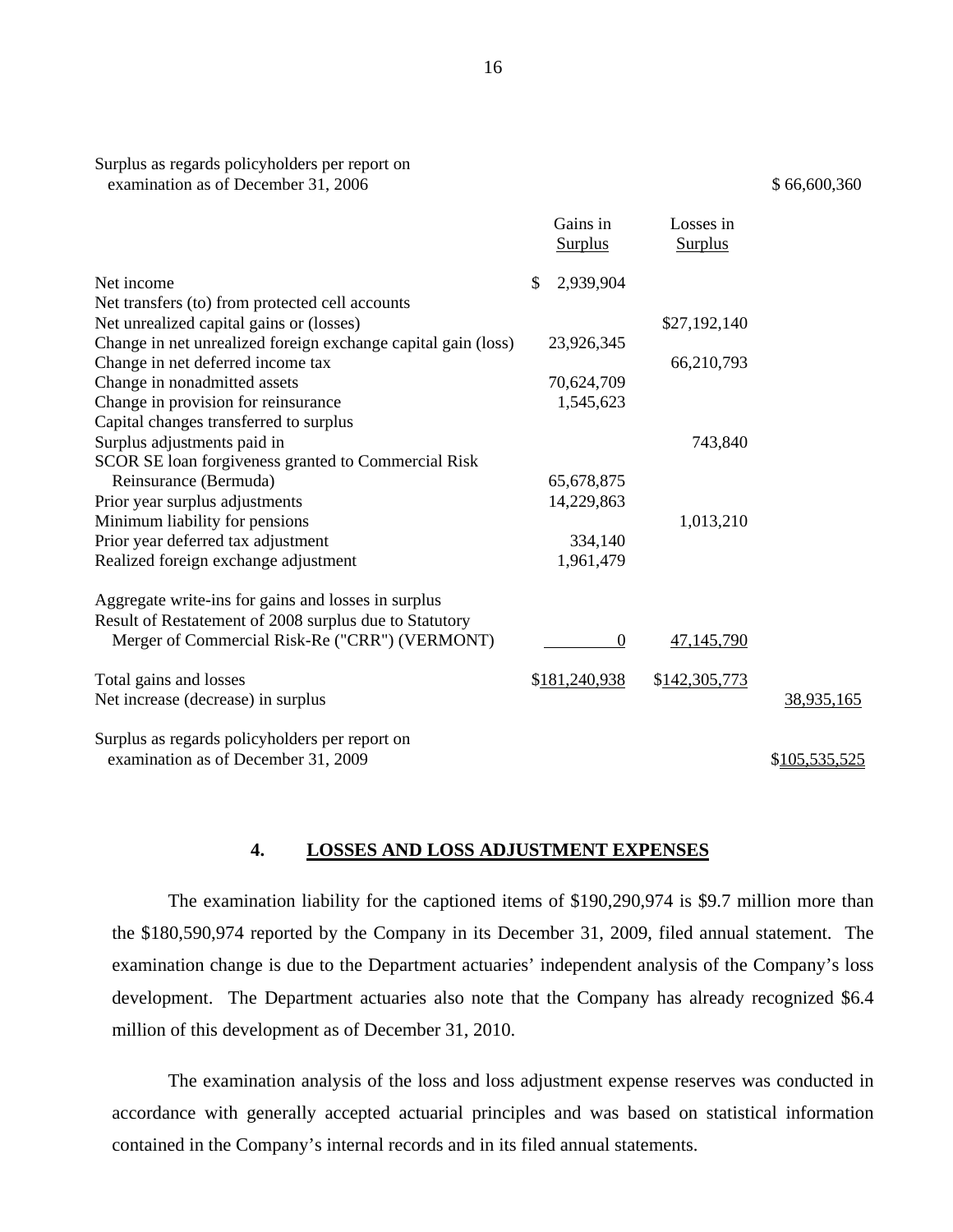|                                                                                       | Gains in<br><b>Surplus</b> | Losses in<br><b>Surplus</b> |               |
|---------------------------------------------------------------------------------------|----------------------------|-----------------------------|---------------|
| Net income                                                                            | \$<br>2,939,904            |                             |               |
| Net transfers (to) from protected cell accounts                                       |                            |                             |               |
| Net unrealized capital gains or (losses)                                              |                            | \$27,192,140                |               |
| Change in net unrealized foreign exchange capital gain (loss)                         | 23,926,345                 |                             |               |
| Change in net deferred income tax                                                     |                            | 66,210,793                  |               |
| Change in nonadmitted assets                                                          | 70,624,709                 |                             |               |
| Change in provision for reinsurance                                                   | 1,545,623                  |                             |               |
| Capital changes transferred to surplus                                                |                            |                             |               |
| Surplus adjustments paid in                                                           |                            | 743,840                     |               |
| SCOR SE loan forgiveness granted to Commercial Risk                                   |                            |                             |               |
| Reinsurance (Bermuda)                                                                 | 65,678,875                 |                             |               |
| Prior year surplus adjustments                                                        | 14,229,863                 |                             |               |
| Minimum liability for pensions                                                        |                            | 1,013,210                   |               |
| Prior year deferred tax adjustment                                                    | 334,140                    |                             |               |
| Realized foreign exchange adjustment                                                  | 1,961,479                  |                             |               |
| Aggregate write-ins for gains and losses in surplus                                   |                            |                             |               |
| Result of Restatement of 2008 surplus due to Statutory                                |                            |                             |               |
| Merger of Commercial Risk-Re ("CRR") (VERMONT)                                        | $\boldsymbol{0}$           | 47,145,790                  |               |
| Total gains and losses                                                                | \$181,240,938              | \$142,305,773               |               |
| Net increase (decrease) in surplus                                                    |                            |                             | 38,935,165    |
| Surplus as regards policyholders per report on<br>examination as of December 31, 2009 |                            |                             | \$105,535,525 |

#### **4. LOSSES AND LOSS ADJUSTMENT EXPENSES**

 The examination liability for the captioned items of \$190,290,974 is \$9.7 million more than the \$180,590,974 reported by the Company in its December 31, 2009, filed annual statement. The examination change is due to the Department actuaries' independent analysis of the Company's loss development. The Department actuaries also note that the Company has already recognized \$6.4 million of this development as of December 31, 2010.

The examination analysis of the loss and loss adjustment expense reserves was conducted in accordance with generally accepted actuarial principles and was based on statistical information contained in the Company's internal records and in its filed annual statements.

16

examination as of December 31, 2006  $\frac{1}{2}$  66,600,360

Surplus as regards policyholders per report on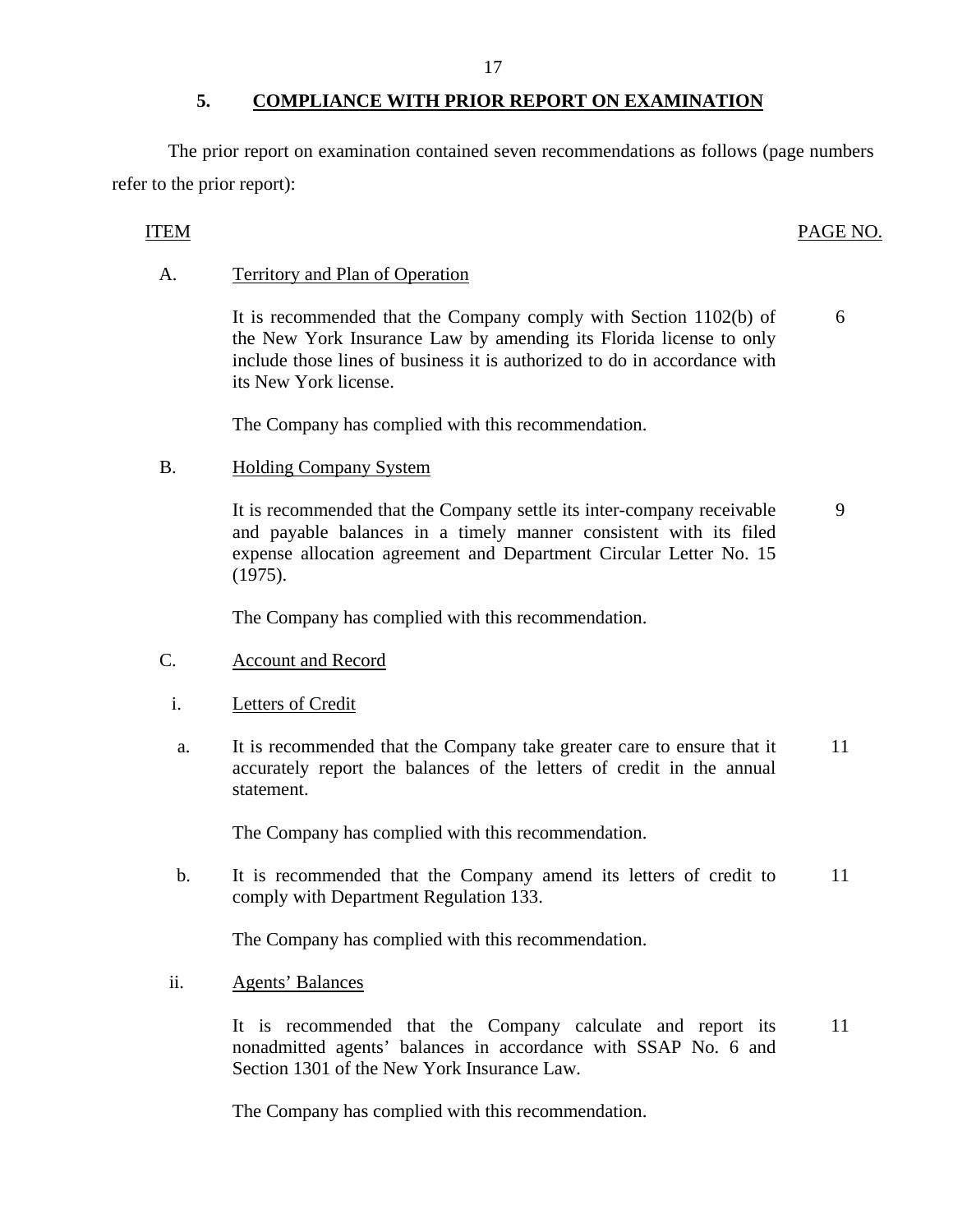# **5. COMPLIANCE WITH PRIOR REPORT ON EXAMINATION**

The prior report on examination contained seven recommendations as follows (page numbers refer to the prior report):

# ITEM PAGE NO.

#### Territory and Plan of Operation

A. Territory and Plan of Operation<br>It is recommended that the Company comply with Section 1102(b) of the New York Insurance Law by amending its Florida license to only include those lines of business it is authorized to do in accordance with its New York license. 6

The Company has complied with this recommendation.

#### **Holding Company System**

B. Holding Company System<br>It is recommended that the Company settle its inter-company receivable and payable balances in a timely manner consistent with its filed expense allocation agreement and Department Circular Letter No. 15 (1975). 9

The Company has complied with this recommendation.

- **Account and Record**
- Letters of Credit
- C. Account and Record<br>i. Letters of Credit <br>a. It is recommended that the Company take greater care to ensure that it accurately report the balances of the letters of credit in the annual statement. 11

The Company has complied with this recommendation.

b. It is recommended that the Company amend its letters of credit to comply with Department Regulation 133. 11

The Company has complied with this recommendation.

**Agents' Balances** 

ii. Agents' Balances<br>It is recommended that the Company calculate and report its nonadmitted agents' balances in accordance with SSAP No. 6 and Section 1301 of the New York Insurance Law. 11

The Company has complied with this recommendation.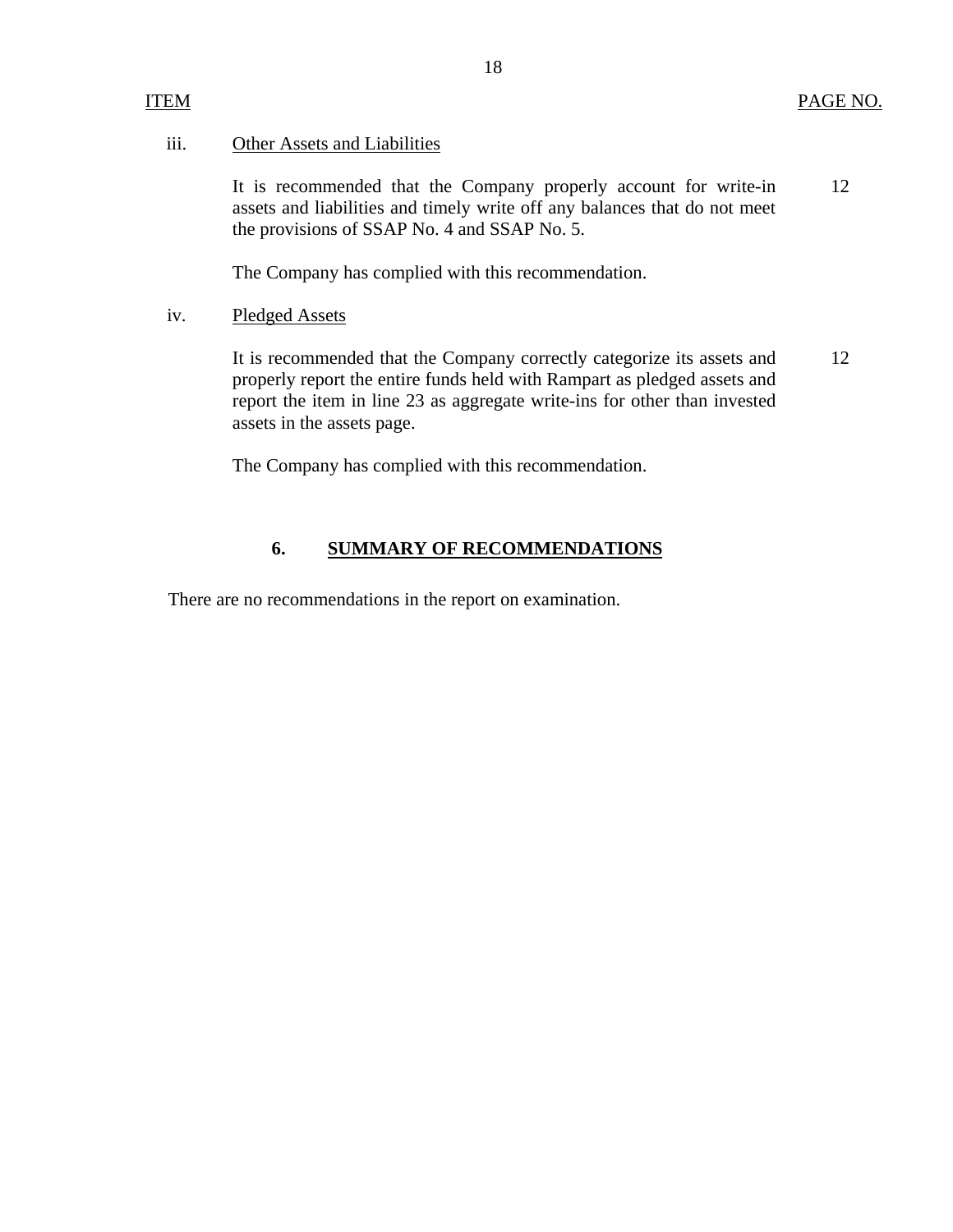#### ITEM

#### Other Assets and Liabilities iii.

It is recommended that the Company properly account for write-in assets and liabilities and timely write off any balances that do not meet the provisions of SSAP No. 4 and SSAP No. 5. 12

The Company has complied with this recommendation.

**Pledged Assets** iv.

> It is recommended that the Company correctly categorize its assets and properly report the entire funds held with Rampart as pledged assets and report the item in line 23 as aggregate write-ins for other than invested assets in the assets page. 12

The Company has complied with this recommendation.

#### **6. SUMMARY OF RECOMMENDATIONS**

There are no recommendations in the report on examination.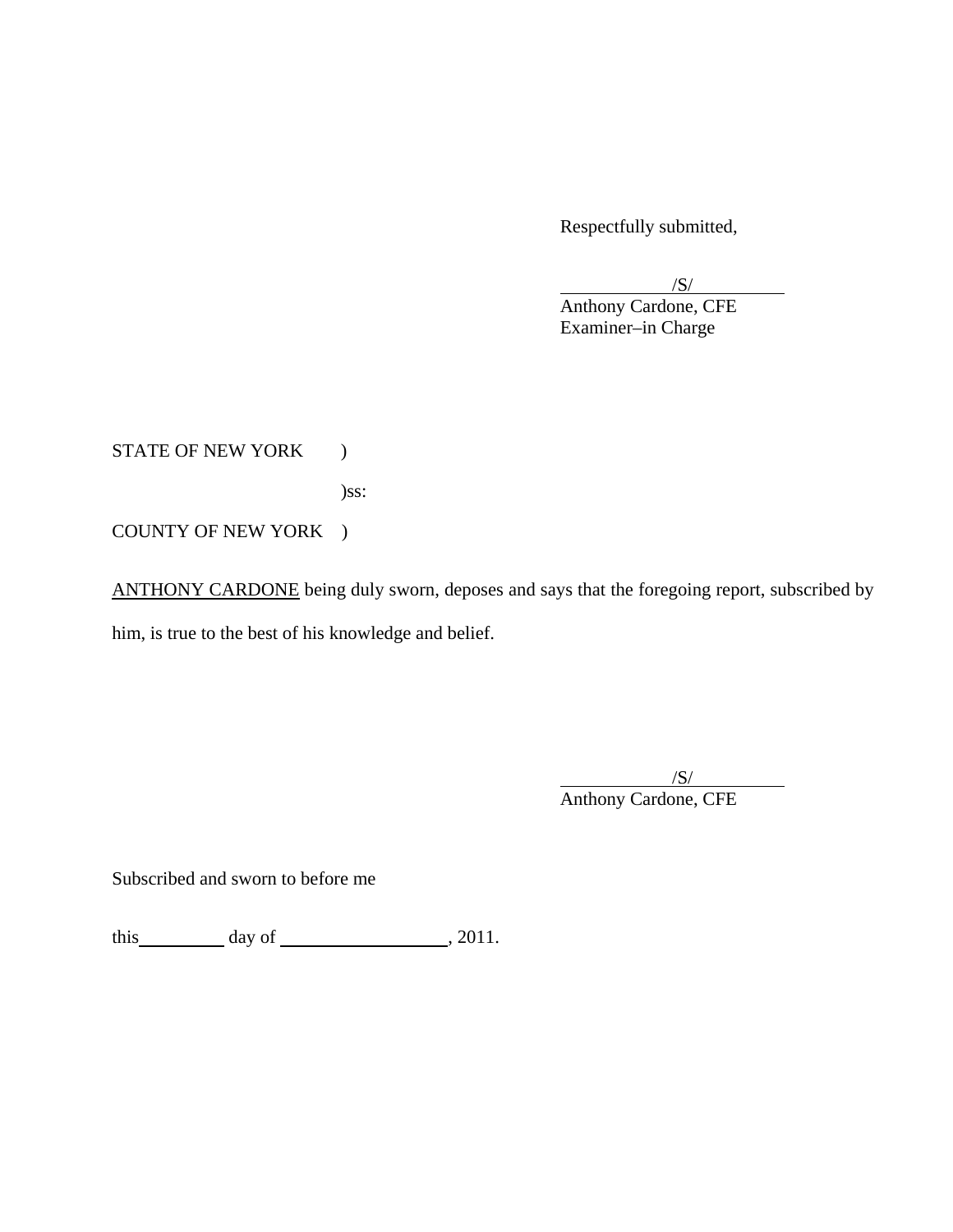Respectfully submitted,

 $/S/$  Examiner–in Charge  $\sqrt{S}$ Anthony Cardone, CFE

STATE OF NEW YORK )

)ss:

COUNTY OF NEW YORK )

ANTHONY CARDONE being duly sworn, deposes and says that the foregoing report, subscribed by him, is true to the best of his knowledge and belief.

 $/$ S/ $/$ Anthony Cardone, CFE

Subscribed and sworn to before me

this  $\qquad \qquad \text{day of} \qquad \qquad .2011.$